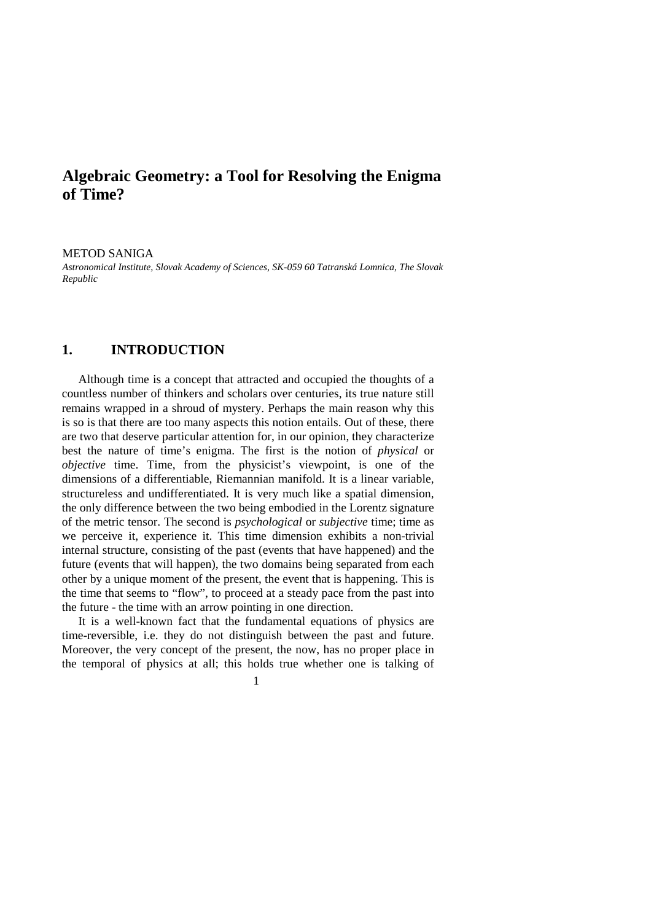# **Algebraic Geometry: a Tool for Resolving the Enigma of Time?**

#### METOD SANIGA

*Astronomical Institute, Slovak Academy of Sciences, SK-059 60 Tatranská Lomnica, The Slovak Republic* 

### **1. INTRODUCTION**

Although time is a concept that attracted and occupied the thoughts of a countless number of thinkers and scholars over centuries, its true nature still remains wrapped in a shroud of mystery. Perhaps the main reason why this is so is that there are too many aspects this notion entails. Out of these, there are two that deserve particular attention for, in our opinion, they characterize best the nature of time's enigma. The first is the notion of *physical* or *objective* time. Time, from the physicist's viewpoint, is one of the dimensions of a differentiable, Riemannian manifold. It is a linear variable, structureless and undifferentiated. It is very much like a spatial dimension, the only difference between the two being embodied in the Lorentz signature of the metric tensor. The second is *psychological* or *subjective* time; time as we perceive it, experience it. This time dimension exhibits a non-trivial internal structure, consisting of the past (events that have happened) and the future (events that will happen), the two domains being separated from each other by a unique moment of the present, the event that is happening. This is the time that seems to "flow", to proceed at a steady pace from the past into the future - the time with an arrow pointing in one direction.

It is a well-known fact that the fundamental equations of physics are time-reversible, i.e. they do not distinguish between the past and future. Moreover, the very concept of the present, the now, has no proper place in the temporal of physics at all; this holds true whether one is talking of

1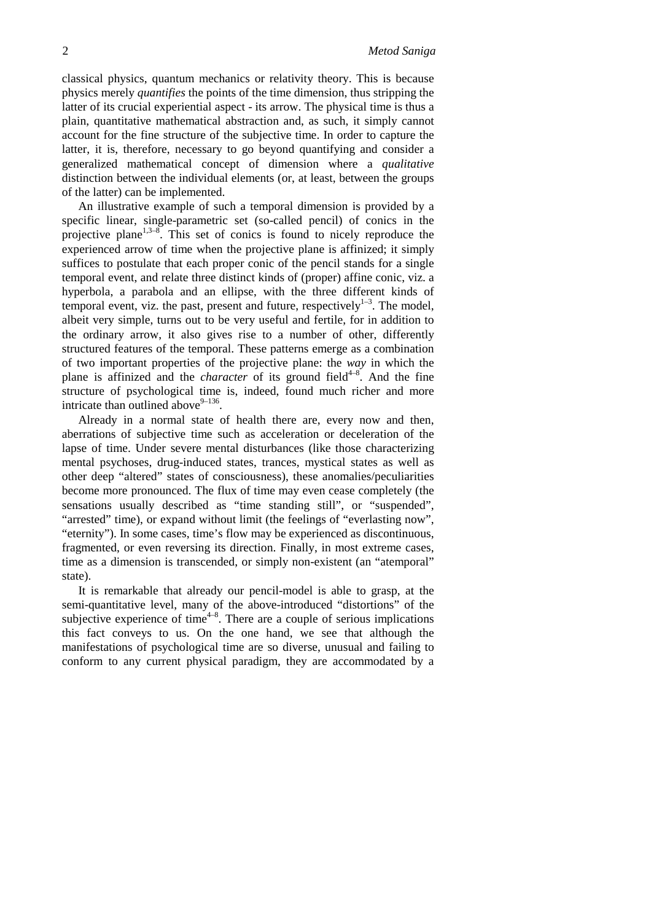classical physics, quantum mechanics or relativity theory. This is because physics merely *quantifies* the points of the time dimension, thus stripping the latter of its crucial experiential aspect - its arrow. The physical time is thus a plain, quantitative mathematical abstraction and, as such, it simply cannot account for the fine structure of the subjective time. In order to capture the latter, it is, therefore, necessary to go beyond quantifying and consider a generalized mathematical concept of dimension where a *qualitative* distinction between the individual elements (or, at least, between the groups of the latter) can be implemented.

An illustrative example of such a temporal dimension is provided by a specific linear, single-parametric set (so-called pencil) of conics in the projective plane<sup>1,3–8</sup>. This set of conics is found to nicely reproduce the experienced arrow of time when the projective plane is affinized; it simply suffices to postulate that each proper conic of the pencil stands for a single temporal event, and relate three distinct kinds of (proper) affine conic, viz. a hyperbola, a parabola and an ellipse, with the three different kinds of temporal event, viz. the past, present and future, respectively<sup>1-3</sup>. The model, albeit very simple, turns out to be very useful and fertile, for in addition to the ordinary arrow, it also gives rise to a number of other, differently structured features of the temporal. These patterns emerge as a combination of two important properties of the projective plane: the *way* in which the plane is affinized and the *character* of its ground field<sup>4-8</sup>. And the fine structure of psychological time is, indeed, found much richer and more intricate than outlined above $9-136$ .

Already in a normal state of health there are, every now and then, aberrations of subjective time such as acceleration or deceleration of the lapse of time. Under severe mental disturbances (like those characterizing mental psychoses, drug-induced states, trances, mystical states as well as other deep "altered" states of consciousness), these anomalies/peculiarities become more pronounced. The flux of time may even cease completely (the sensations usually described as "time standing still", or "suspended", "arrested" time), or expand without limit (the feelings of "everlasting now", "eternity"). In some cases, time's flow may be experienced as discontinuous, fragmented, or even reversing its direction. Finally, in most extreme cases, time as a dimension is transcended, or simply non-existent (an "atemporal" state).

It is remarkable that already our pencil-model is able to grasp, at the semi-quantitative level, many of the above-introduced "distortions" of the subjective experience of time<sup> $4-8$ </sup>. There are a couple of serious implications this fact conveys to us. On the one hand, we see that although the manifestations of psychological time are so diverse, unusual and failing to conform to any current physical paradigm, they are accommodated by a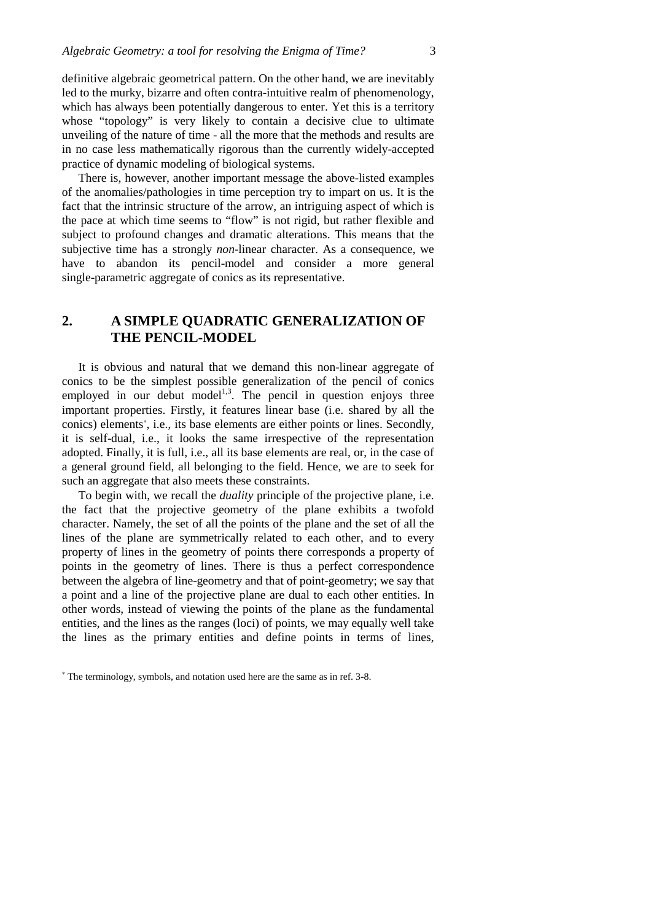definitive algebraic geometrical pattern. On the other hand, we are inevitably led to the murky, bizarre and often contra-intuitive realm of phenomenology, which has always been potentially dangerous to enter. Yet this is a territory whose "topology" is very likely to contain a decisive clue to ultimate unveiling of the nature of time - all the more that the methods and results are

practice of dynamic modeling of biological systems. There is, however, another important message the above-listed examples of the anomalies/pathologies in time perception try to impart on us. It is the fact that the intrinsic structure of the arrow, an intriguing aspect of which is the pace at which time seems to "flow" is not rigid, but rather flexible and subject to profound changes and dramatic alterations. This means that the subjective time has a strongly *non*-linear character. As a consequence, we have to abandon its pencil-model and consider a more general single-parametric aggregate of conics as its representative.

in no case less mathematically rigorous than the currently widely-accepted

## **2. A SIMPLE QUADRATIC GENERALIZATION OF THE PENCIL-MODEL**

It is obvious and natural that we demand this non-linear aggregate of conics to be the simplest possible generalization of the pencil of conics employed in our debut model<sup>1,3</sup>. The pencil in question enjoys three important properties. Firstly, it features linear base (i.e. shared by all the conics) elements<sup>∗</sup>, i.e., its base elements are either points or lines. Secondly, it is self-dual, i.e., it looks the same irrespective of the representation adopted. Finally, it is full, i.e., all its base elements are real, or, in the case of a general ground field, all belonging to the field. Hence, we are to seek for such an aggregate that also meets these constraints.

To begin with, we recall the *duality* principle of the projective plane, i.e. the fact that the projective geometry of the plane exhibits a twofold character. Namely, the set of all the points of the plane and the set of all the lines of the plane are symmetrically related to each other, and to every property of lines in the geometry of points there corresponds a property of points in the geometry of lines. There is thus a perfect correspondence between the algebra of line-geometry and that of point-geometry; we say that a point and a line of the projective plane are dual to each other entities. In other words, instead of viewing the points of the plane as the fundamental entities, and the lines as the ranges (loci) of points, we may equally well take the lines as the primary entities and define points in terms of lines,

<sup>∗</sup> The terminology, symbols, and notation used here are the same as in ref. 3-8.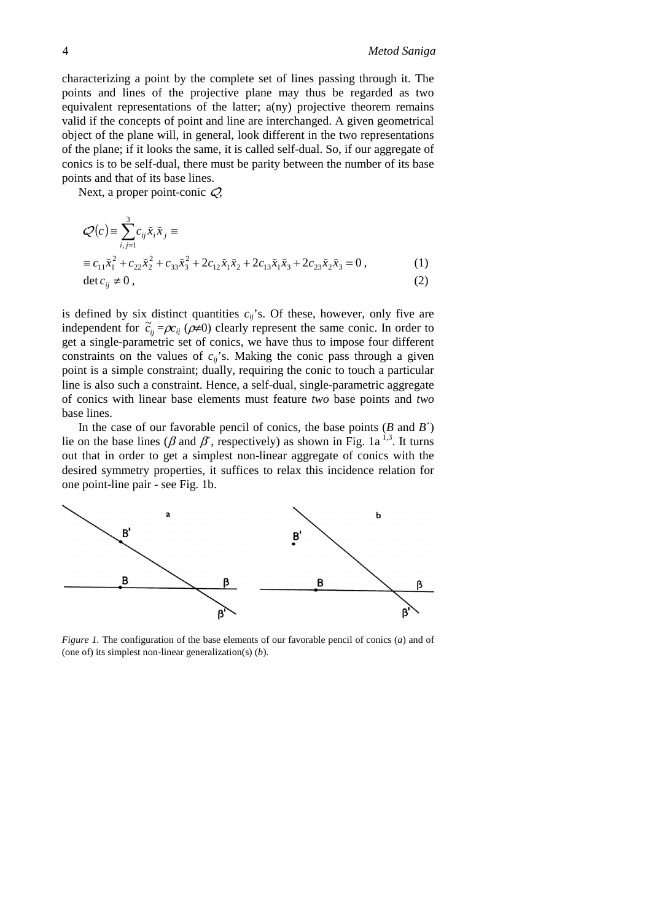characterizing a point by the complete set of lines passing through it. The points and lines of the projective plane may thus be regarded as two equivalent representations of the latter; a(ny) projective theorem remains valid if the concepts of point and line are interchanged. A given geometrical object of the plane will, in general, look different in the two representations of the plane; if it looks the same, it is called self-dual. So, if our aggregate of conics is to be self-dual, there must be parity between the number of its base points and that of its base lines.

Next, a proper point-conic  $Q$ ,

$$
\mathcal{Q}(c) = \sum_{i,j=1}^{3} c_{ij} \bar{x}_i \bar{x}_j =
$$
\n
$$
\equiv c_{11} \bar{x}_1^2 + c_{22} \bar{x}_2^2 + c_{33} \bar{x}_3^2 + 2c_{12} \bar{x}_1 \bar{x}_2 + 2c_{13} \bar{x}_1 \bar{x}_3 + 2c_{23} \bar{x}_2 \bar{x}_3 = 0,
$$
\n(1)\n
$$
\det c_{ij} \neq 0,
$$
\n(2)

is defined by six distinct quantities  $c_{ij}$ 's. Of these, however, only five are independent for  $\tilde{c}_{ij} = \rho c_{ij} (\rho \neq 0)$  clearly represent the same conic. In order to get a single-parametric set of conics, we have thus to impose four different constraints on the values of  $c_{ij}$ 's. Making the conic pass through a given point is a simple constraint; dually, requiring the conic to touch a particular line is also such a constraint. Hence, a self-dual, single-parametric aggregate of conics with linear base elements must feature *two* base points and *two* base lines.

In the case of our favorable pencil of conics, the base points (*B* and *B*´) lie on the base lines ( $\beta$  and  $\beta'$ , respectively) as shown in Fig. 1a<sup>1,3</sup>. It turns out that in order to get a simplest non-linear aggregate of conics with the desired symmetry properties, it suffices to relax this incidence relation for one point-line pair - see Fig. 1b.



*Figure 1.* The configuration of the base elements of our favorable pencil of conics (*a*) and of (one of) its simplest non-linear generalization(s) (*b*).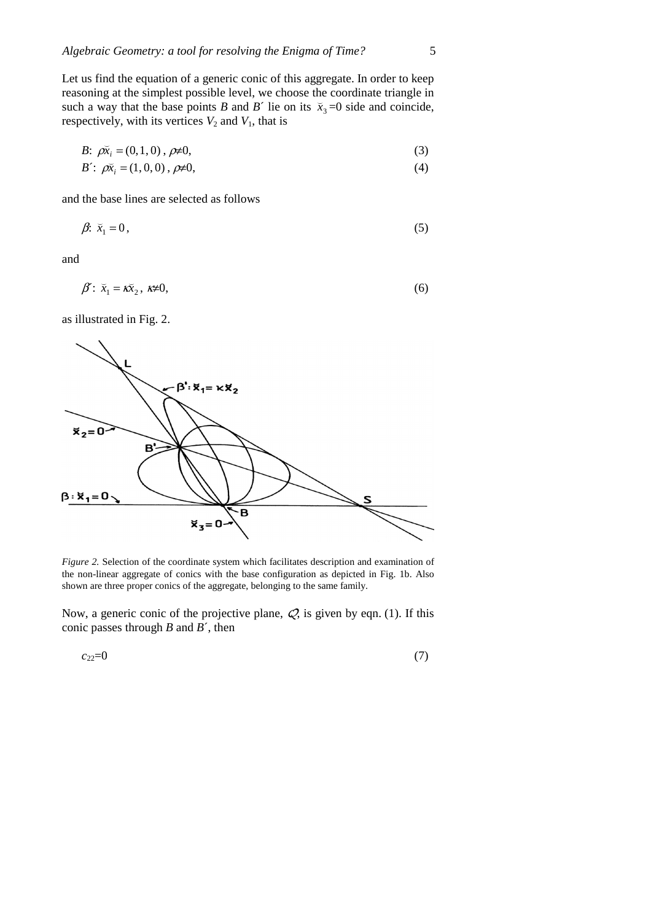Let us find the equation of a generic conic of this aggregate. In order to keep reasoning at the simplest possible level, we choose the coordinate triangle in such a way that the base points *B* and *B*<sup> $\prime$ </sup> lie on its  $\bar{x}_3 = 0$  side and coincide, respectively, with its vertices  $V_2$  and  $V_1$ , that is

$$
B: \rho \breve{\mathbf{x}}_i = (0, 1, 0), \rho \neq 0,\tag{3}
$$

$$
B': \ \rho \bar{x}_i = (1, 0, 0), \ \rho \neq 0,
$$
 (4)

and the base lines are selected as follows

$$
\beta: \breve{x}_1 = 0, \tag{5}
$$

and

$$
\beta \colon \breve{x}_1 = \kappa \breve{x}_2, \, \kappa \neq 0,\tag{6}
$$

as illustrated in Fig. 2.



*Figure 2.* Selection of the coordinate system which facilitates description and examination of the non-linear aggregate of conics with the base configuration as depicted in Fig. 1b. Also shown are three proper conics of the aggregate, belonging to the same family.

Now, a generic conic of the projective plane,  $Q$ , is given by eqn. (1). If this conic passes through *B* and *B*´, then

 $c_{22}=0$  (7)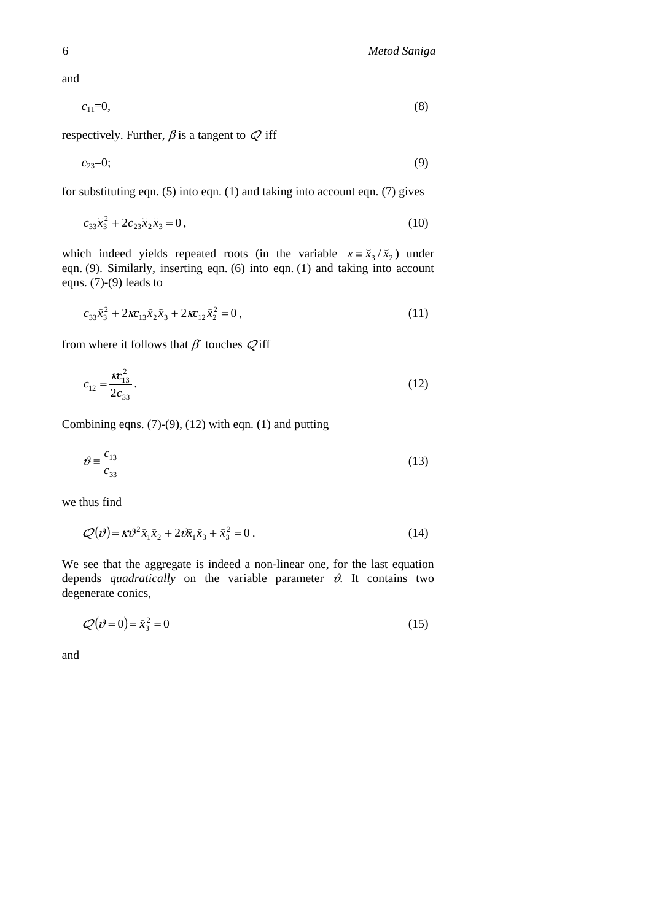and

$$
c_{11}=0,\t\t(8)
$$

respectively. Further,  $\beta$  is a tangent to  $\varphi$  iff

$$
c_{23}=0;\t\t(9)
$$

for substituting eqn. (5) into eqn. (1) and taking into account eqn. (7) gives

$$
c_{33}\ddot{x}_3^2 + 2c_{23}\ddot{x}_2\ddot{x}_3 = 0\,,\tag{10}
$$

which indeed yields repeated roots (in the variable  $x = \tilde{x}_3 / \tilde{x}_2$ ) under eqn. (9). Similarly, inserting eqn. (6) into eqn. (1) and taking into account eqns. (7)-(9) leads to

$$
c_{33}\bar{x}_3^2 + 2\kappa c_{13}\bar{x}_2\bar{x}_3 + 2\kappa c_{12}\bar{x}_2^2 = 0, \qquad (11)
$$

from where it follows that  $\beta'$  touches  $\mathcal{Q}$  iff

$$
c_{12} = \frac{\kappa c_{13}^2}{2c_{33}}.
$$
 (12)

Combining eqns.  $(7)-(9)$ ,  $(12)$  with eqn.  $(1)$  and putting

$$
\vartheta \equiv \frac{c_{13}}{c_{33}}\tag{13}
$$

we thus find

$$
\mathcal{Q}(\vartheta) = \kappa \vartheta^2 \widetilde{x}_1 \widetilde{x}_2 + 2 \vartheta \widetilde{x}_1 \widetilde{x}_3 + \widetilde{x}_3^2 = 0. \qquad (14)
$$

We see that the aggregate is indeed a non-linear one, for the last equation depends *quadratically* on the variable parameter  $\vartheta$ . It contains two degenerate conics,

$$
\mathcal{Q}(\vartheta=0) = \breve{x}_3^2 = 0 \tag{15}
$$

and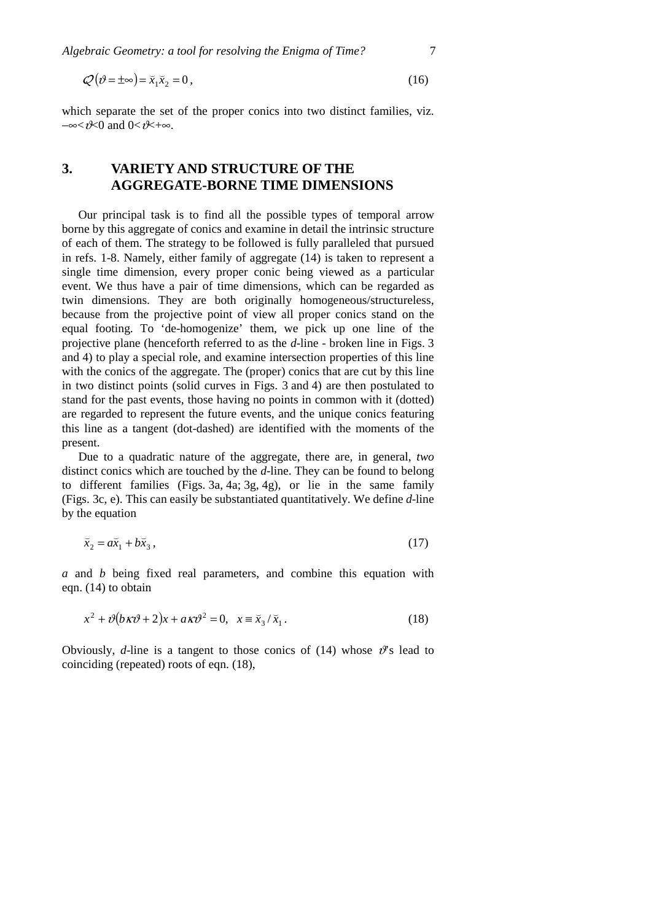*Algebraic Geometry: a tool for resolving the Enigma of Time?* 7

$$
\mathcal{Q}(\vartheta = \pm \infty) = \breve{x}_1 \breve{x}_2 = 0, \qquad (16)
$$

which separate the set of the proper conics into two distinct families, viz. −∞< $i$  \  $\&$  0 and 0< $i$  \  $\&$  +∞.

### **3. VARIETY AND STRUCTURE OF THE AGGREGATE-BORNE TIME DIMENSIONS**

Our principal task is to find all the possible types of temporal arrow borne by this aggregate of conics and examine in detail the intrinsic structure of each of them. The strategy to be followed is fully paralleled that pursued in refs. 1-8. Namely, either family of aggregate (14) is taken to represent a single time dimension, every proper conic being viewed as a particular event. We thus have a pair of time dimensions, which can be regarded as twin dimensions. They are both originally homogeneous/structureless, because from the projective point of view all proper conics stand on the equal footing. To 'de-homogenize' them, we pick up one line of the projective plane (henceforth referred to as the *d*-line - broken line in Figs. 3 and 4) to play a special role, and examine intersection properties of this line with the conics of the aggregate. The (proper) conics that are cut by this line in two distinct points (solid curves in Figs. 3 and 4) are then postulated to stand for the past events, those having no points in common with it (dotted) are regarded to represent the future events, and the unique conics featuring this line as a tangent (dot-dashed) are identified with the moments of the present.

Due to a quadratic nature of the aggregate, there are, in general, *two* distinct conics which are touched by the *d*-line. They can be found to belong to different families (Figs. 3a, 4a; 3g, 4g), or lie in the same family (Figs. 3c, e). This can easily be substantiated quantitatively. We define *d*-line by the equation

$$
\breve{x}_2 = a\breve{x}_1 + b\breve{x}_3\,,\tag{17}
$$

*a* and *b* being fixed real parameters, and combine this equation with eqn. (14) to obtain

$$
x^{2} + \vartheta (b\kappa \vartheta + 2)x + a\kappa \vartheta^{2} = 0, \quad x \equiv \bar{x}_{3} / \bar{x}_{1}.
$$
 (18)

Obviously, *d*-line is a tangent to those conics of (14) whose  $\mathcal{S}_s$  lead to coinciding (repeated) roots of eqn. (18),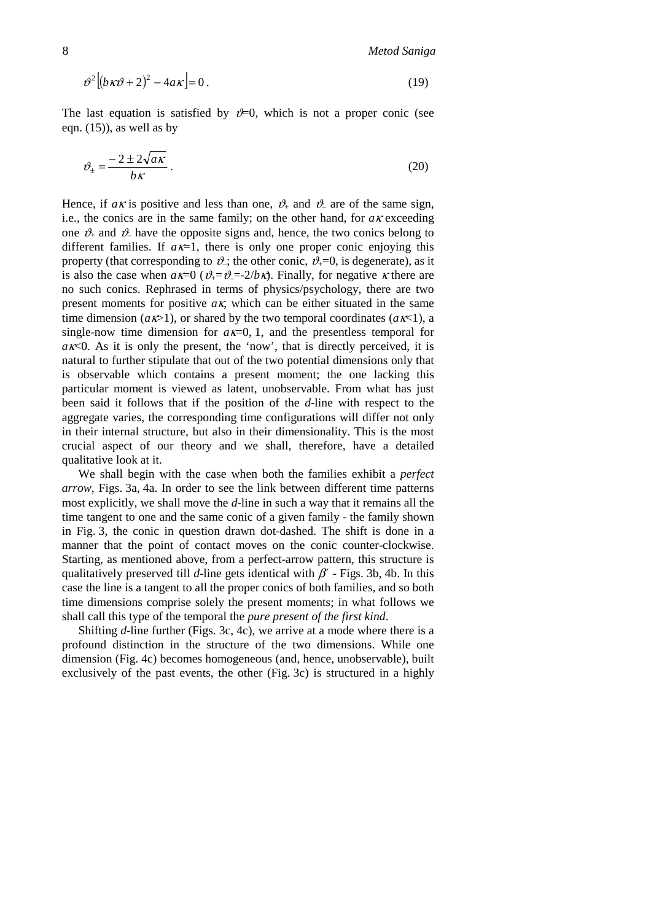$$
\vartheta^2 \left[ (b \kappa \vartheta + 2)^2 - 4a \kappa \right] = 0 \,. \tag{19}
$$

The last equation is satisfied by  $\mathcal{V}=0$ , which is not a proper conic (see eqn.  $(15)$ ), as well as by

$$
\vartheta_{\pm} = \frac{-2 \pm 2\sqrt{a\kappa}}{b\kappa} \,. \tag{20}
$$

Hence, if  $a\kappa$  is positive and less than one,  $\vartheta$  and  $\vartheta$  are of the same sign, i.e., the conics are in the same family; on the other hand, for *a*κ exceeding one  $\mathcal{V}_+$  and  $\mathcal{V}_-$  have the opposite signs and, hence, the two conics belong to different families. If  $a\kappa=1$ , there is only one proper conic enjoying this property (that corresponding to  $\vartheta$ ); the other conic,  $\vartheta_+ = 0$ , is degenerate), as it is also the case when  $a \kappa = 0$  ( $\vartheta = 2/b \kappa$ ). Finally, for negative  $\kappa$  there are no such conics. Rephrased in terms of physics/psychology, there are two present moments for positive  $a\kappa$ , which can be either situated in the same time dimension ( $a \kappa > 1$ ), or shared by the two temporal coordinates ( $a \kappa < 1$ ), a single-now time dimension for  $a \kappa = 0, 1$ , and the presentless temporal for *a*κ<0. As it is only the present, the 'now', that is directly perceived, it is natural to further stipulate that out of the two potential dimensions only that is observable which contains a present moment; the one lacking this particular moment is viewed as latent, unobservable. From what has just been said it follows that if the position of the *d*-line with respect to the aggregate varies, the corresponding time configurations will differ not only in their internal structure, but also in their dimensionality. This is the most crucial aspect of our theory and we shall, therefore, have a detailed qualitative look at it.

We shall begin with the case when both the families exhibit a *perfect arrow*, Figs. 3a, 4a. In order to see the link between different time patterns most explicitly, we shall move the *d*-line in such a way that it remains all the time tangent to one and the same conic of a given family - the family shown in Fig. 3, the conic in question drawn dot-dashed. The shift is done in a manner that the point of contact moves on the conic counter-clockwise. Starting, as mentioned above, from a perfect-arrow pattern, this structure is qualitatively preserved till *d*-line gets identical with  $\beta'$  - Figs. 3b, 4b. In this case the line is a tangent to all the proper conics of both families, and so both time dimensions comprise solely the present moments; in what follows we shall call this type of the temporal the *pure present of the first kind*.

Shifting *d*-line further (Figs. 3c, 4c), we arrive at a mode where there is a profound distinction in the structure of the two dimensions. While one dimension (Fig. 4c) becomes homogeneous (and, hence, unobservable), built exclusively of the past events, the other (Fig. 3c) is structured in a highly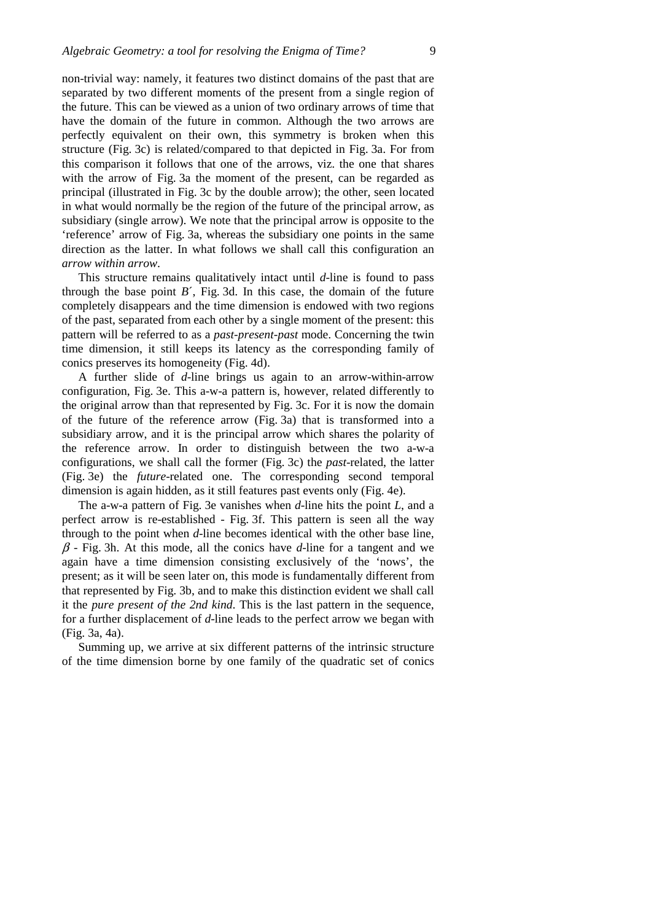non-trivial way: namely, it features two distinct domains of the past that are separated by two different moments of the present from a single region of the future. This can be viewed as a union of two ordinary arrows of time that have the domain of the future in common. Although the two arrows are perfectly equivalent on their own, this symmetry is broken when this structure (Fig. 3c) is related/compared to that depicted in Fig. 3a. For from this comparison it follows that one of the arrows, viz. the one that shares with the arrow of Fig. 3a the moment of the present, can be regarded as principal (illustrated in Fig. 3c by the double arrow); the other, seen located in what would normally be the region of the future of the principal arrow, as subsidiary (single arrow). We note that the principal arrow is opposite to the 'reference' arrow of Fig. 3a, whereas the subsidiary one points in the same direction as the latter. In what follows we shall call this configuration an *arrow within arrow*.

This structure remains qualitatively intact until *d*-line is found to pass through the base point  $B'$ , Fig. 3d. In this case, the domain of the future completely disappears and the time dimension is endowed with two regions of the past, separated from each other by a single moment of the present: this pattern will be referred to as a *past-present-past* mode. Concerning the twin time dimension, it still keeps its latency as the corresponding family of conics preserves its homogeneity (Fig. 4d).

A further slide of *d*-line brings us again to an arrow-within-arrow configuration, Fig. 3e. This a-w-a pattern is, however, related differently to the original arrow than that represented by Fig. 3c. For it is now the domain of the future of the reference arrow (Fig. 3a) that is transformed into a subsidiary arrow, and it is the principal arrow which shares the polarity of the reference arrow. In order to distinguish between the two a-w-a configurations, we shall call the former (Fig. 3c) the *past*-related, the latter (Fig. 3e) the *future*-related one. The corresponding second temporal dimension is again hidden, as it still features past events only (Fig. 4e).

The a-w-a pattern of Fig. 3e vanishes when *d*-line hits the point *L*, and a perfect arrow is re-established - Fig. 3f. This pattern is seen all the way through to the point when *d*-line becomes identical with the other base line,  $\beta$  - Fig. 3h. At this mode, all the conics have *d*-line for a tangent and we again have a time dimension consisting exclusively of the 'nows', the present; as it will be seen later on, this mode is fundamentally different from that represented by Fig. 3b, and to make this distinction evident we shall call it the *pure present of the 2nd kind*. This is the last pattern in the sequence, for a further displacement of *d*-line leads to the perfect arrow we began with (Fig. 3a, 4a).

Summing up, we arrive at six different patterns of the intrinsic structure of the time dimension borne by one family of the quadratic set of conics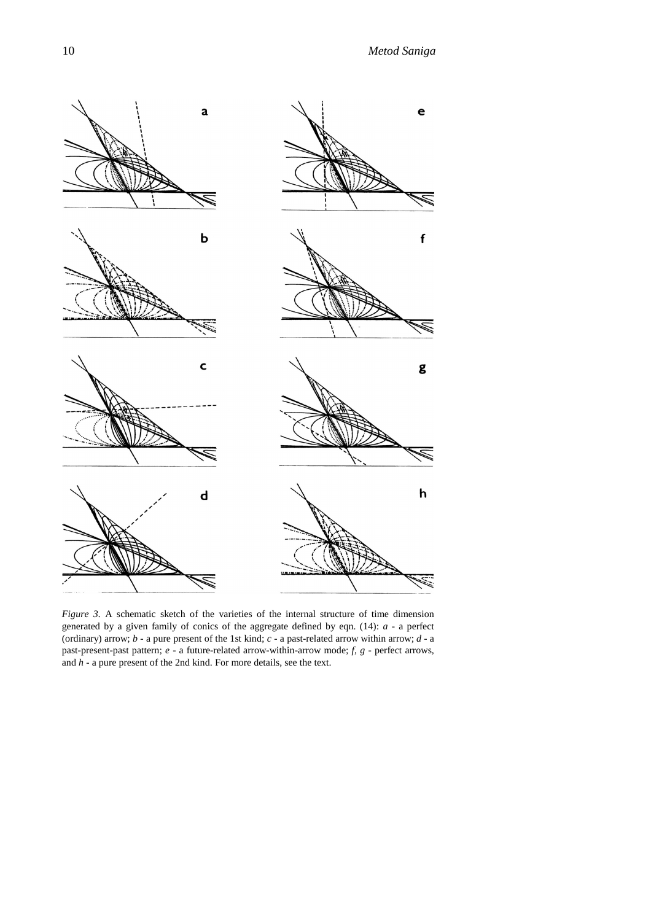

*Figure 3.* A schematic sketch of the varieties of the internal structure of time dimension generated by a given family of conics of the aggregate defined by eqn. (14): *a* - a perfect (ordinary) arrow; *b* - a pure present of the 1st kind; *c* - a past-related arrow within arrow; *d* - a past-present-past pattern; *e* - a future-related arrow-within-arrow mode; *f*, *g* - perfect arrows, and *h* - a pure present of the 2nd kind. For more details, see the text.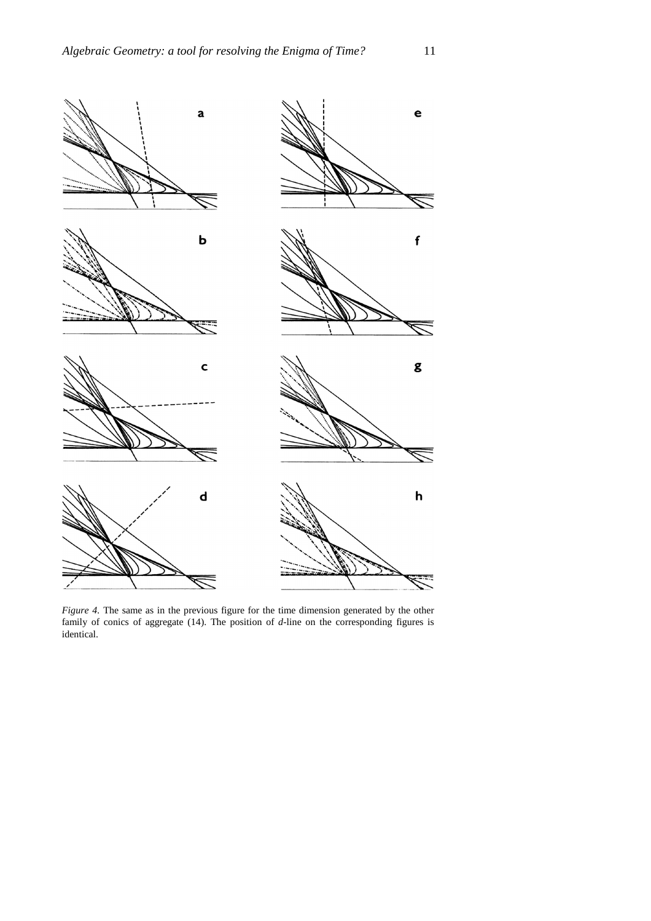

*Figure 4.* The same as in the previous figure for the time dimension generated by the other family of conics of aggregate (14). The position of *d-*line on the corresponding figures is identical.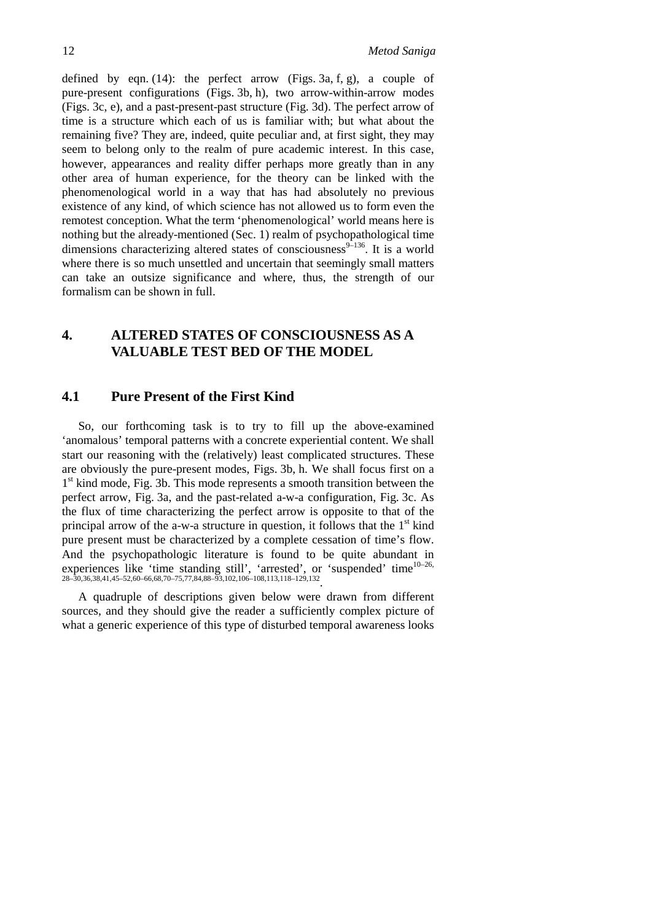defined by eqn. (14): the perfect arrow (Figs. 3a, f, g), a couple of pure-present configurations (Figs. 3b, h), two arrow-within-arrow modes (Figs. 3c, e), and a past-present-past structure (Fig. 3d). The perfect arrow of time is a structure which each of us is familiar with; but what about the remaining five? They are, indeed, quite peculiar and, at first sight, they may seem to belong only to the realm of pure academic interest. In this case, however, appearances and reality differ perhaps more greatly than in any other area of human experience, for the theory can be linked with the phenomenological world in a way that has had absolutely no previous existence of any kind, of which science has not allowed us to form even the remotest conception. What the term 'phenomenological' world means here is nothing but the already-mentioned (Sec. 1) realm of psychopathological time dimensions characterizing altered states of consciousness<sup>9–136</sup>. It is a world where there is so much unsettled and uncertain that seemingly small matters can take an outsize significance and where, thus, the strength of our formalism can be shown in full.

### **4. ALTERED STATES OF CONSCIOUSNESS AS A VALUABLE TEST BED OF THE MODEL**

### **4.1 Pure Present of the First Kind**

So, our forthcoming task is to try to fill up the above-examined 'anomalous' temporal patterns with a concrete experiential content. We shall start our reasoning with the (relatively) least complicated structures. These are obviously the pure-present modes, Figs. 3b, h. We shall focus first on a 1<sup>st</sup> kind mode, Fig. 3b. This mode represents a smooth transition between the perfect arrow, Fig. 3a, and the past-related a-w-a configuration, Fig. 3c. As the flux of time characterizing the perfect arrow is opposite to that of the principal arrow of the a-w-a structure in question, it follows that the  $1<sup>st</sup>$  kind pure present must be characterized by a complete cessation of time's flow. And the psychopathologic literature is found to be quite abundant in experiences like 'time standing still', 'arrested', or 'suspended' time $10-26$ , 28–30,36,38,41,45–52,60–66,68,70–75,77,84,88–93,102,106–108,113,118–129,132.

A quadruple of descriptions given below were drawn from different sources, and they should give the reader a sufficiently complex picture of what a generic experience of this type of disturbed temporal awareness looks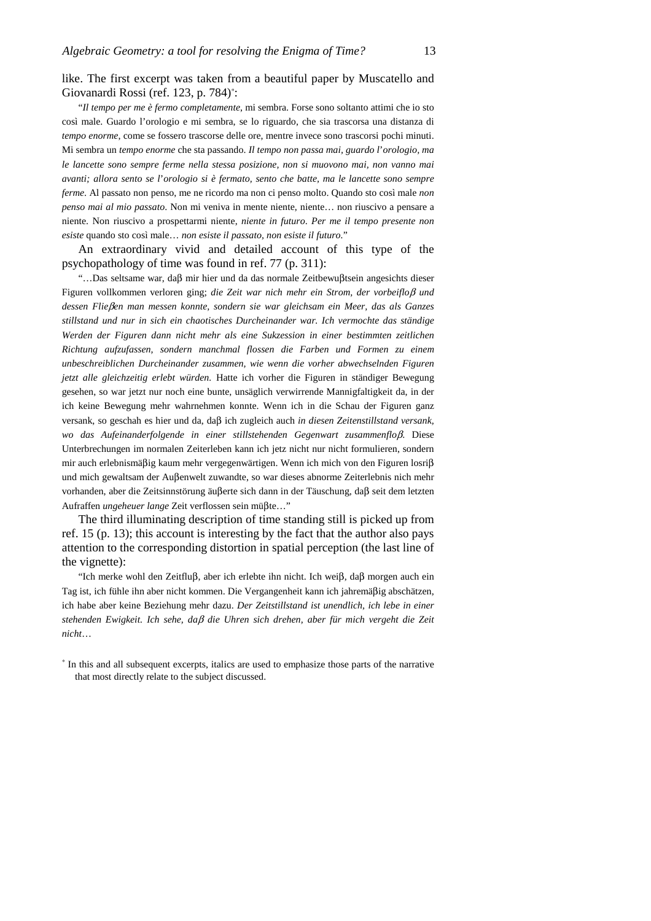#### like. The first excerpt was taken from a beautiful paper by Muscatello and Giovanardi Rossi (ref. 123, p. 784)<sup>∗</sup> :

"*Il tempo per me è fermo completamente*, mi sembra. Forse sono soltanto attimi che io sto così male. Guardo l'orologio e mi sembra, se lo riguardo, che sia trascorsa una distanza di *tempo enorme*, come se fossero trascorse delle ore, mentre invece sono trascorsi pochi minuti. Mi sembra un *tempo enorme* che sta passando. *Il tempo non passa mai, guardo l*'*orologio, ma le lancette sono sempre ferme nella stessa posizione, non si muovono mai, non vanno mai avanti; allora sento se l*'*orologio si è fermato, sento che batte, ma le lancette sono sempre ferme*. Al passato non penso, me ne ricordo ma non ci penso molto. Quando sto così male *non penso mai al mio passato*. Non mi veniva in mente niente, niente… non riuscivo a pensare a niente. Non riuscivo a prospettarmi niente, *niente in futuro*. *Per me il tempo presente non esiste* quando sto così male… *non esiste il passato, non esiste il futuro.*"

An extraordinary vivid and detailed account of this type of the psychopathology of time was found in ref. 77 (p. 311):

"…Das seltsame war, daβ mir hier und da das normale Zeitbewuβtsein angesichts dieser Figuren vollkommen verloren ging; *die Zeit war nich mehr ein Strom, der vorbeiflo*β *und dessen Flie*β*en man messen konnte, sondern sie war gleichsam ein Meer, das als Ganzes stillstand und nur in sich ein chaotisches Durcheinander war. Ich vermochte das ständige Werden der Figuren dann nicht mehr als eine Sukzession in einer bestimmten zeitlichen Richtung aufzufassen, sondern manchmal flossen die Farben und Formen zu einem unbeschreiblichen Durcheinander zusammen, wie wenn die vorher abwechselnden Figuren jetzt alle gleichzeitig erlebt würden.* Hatte ich vorher die Figuren in ständiger Bewegung gesehen, so war jetzt nur noch eine bunte, unsäglich verwirrende Mannigfaltigkeit da, in der ich keine Bewegung mehr wahrnehmen konnte. Wenn ich in die Schau der Figuren ganz versank, so geschah es hier und da, daβ ich zugleich auch *in diesen Zeitenstillstand versank, wo das Aufeinanderfolgende in einer stillstehenden Gegenwart zusammenflo*β. Diese Unterbrechungen im normalen Zeiterleben kann ich jetz nicht nur nicht formulieren, sondern mir auch erlebnismäβig kaum mehr vergegenwärtigen. Wenn ich mich von den Figuren losriβ und mich gewaltsam der Auβenwelt zuwandte, so war dieses abnorme Zeiterlebnis nich mehr vorhanden, aber die Zeitsinnstörung äuβerte sich dann in der Täuschung, daβ seit dem letzten Aufraffen *ungeheuer lange* Zeit verflossen sein müβte…"

The third illuminating description of time standing still is picked up from ref. 15 (p. 13); this account is interesting by the fact that the author also pays attention to the corresponding distortion in spatial perception (the last line of the vignette):

"Ich merke wohl den Zeitfluβ, aber ich erlebte ihn nicht. Ich weiβ, daβ morgen auch ein Tag ist, ich fühle ihn aber nicht kommen. Die Vergangenheit kann ich jahremäβig abschätzen, ich habe aber keine Beziehung mehr dazu. *Der Zeitstillstand ist unendlich, ich lebe in einer stehenden Ewigkeit. Ich sehe, da*β *die Uhren sich drehen, aber für mich vergeht die Zeit nicht*…

∗ In this and all subsequent excerpts, italics are used to emphasize those parts of the narrative that most directly relate to the subject discussed.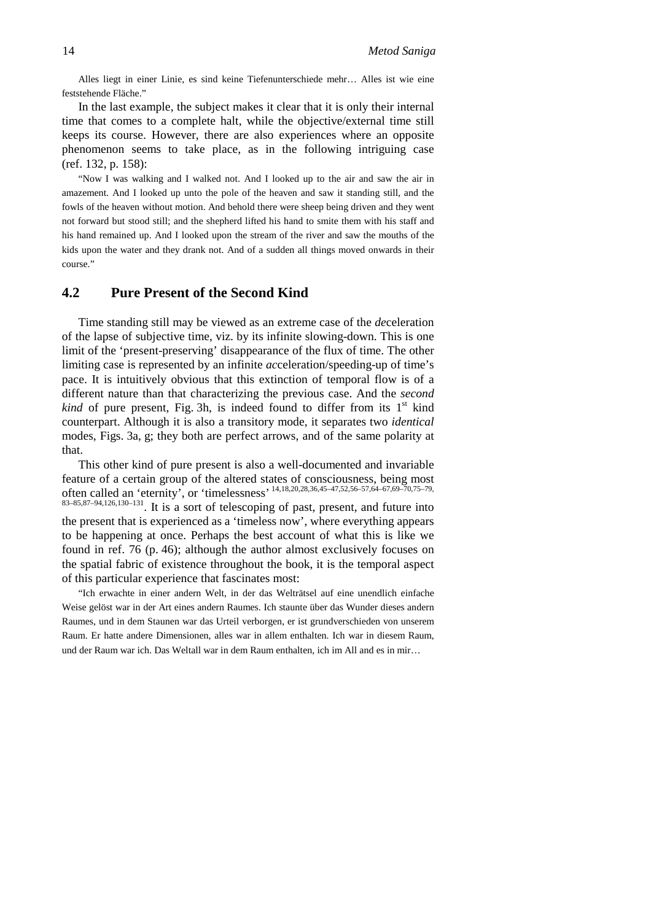Alles liegt in einer Linie, es sind keine Tiefenunterschiede mehr… Alles ist wie eine feststehende Fläche."

In the last example, the subject makes it clear that it is only their internal time that comes to a complete halt, while the objective/external time still keeps its course. However, there are also experiences where an opposite phenomenon seems to take place, as in the following intriguing case (ref. 132, p. 158):

"Now I was walking and I walked not. And I looked up to the air and saw the air in amazement. And I looked up unto the pole of the heaven and saw it standing still, and the fowls of the heaven without motion. And behold there were sheep being driven and they went not forward but stood still; and the shepherd lifted his hand to smite them with his staff and his hand remained up. And I looked upon the stream of the river and saw the mouths of the kids upon the water and they drank not. And of a sudden all things moved onwards in their course."

#### **4.2 Pure Present of the Second Kind**

Time standing still may be viewed as an extreme case of the *de*celeration of the lapse of subjective time, viz. by its infinite slowing-down. This is one limit of the 'present-preserving' disappearance of the flux of time. The other limiting case is represented by an infinite *ac*celeration/speeding-up of time's pace. It is intuitively obvious that this extinction of temporal flow is of a different nature than that characterizing the previous case. And the *second kind* of pure present, Fig. 3h, is indeed found to differ from its  $1<sup>st</sup>$  kind counterpart. Although it is also a transitory mode, it separates two *identical* modes, Figs. 3a, g; they both are perfect arrows, and of the same polarity at that.

This other kind of pure present is also a well-documented and invariable feature of a certain group of the altered states of consciousness, being most often called an 'eternity', or 'timelessness'  $\frac{14,18,20,28,36,45-47,52,56-57,64-67,69-70,75-79}{14,18,20,28,36,45-47,52,56-57,64-67,69-70,75-79}$  $83-85,87-94,126,130-131$ . It is a sort of telescoping of past, present, and future into the present that is experienced as a 'timeless now', where everything appears to be happening at once. Perhaps the best account of what this is like we found in ref. 76 (p. 46); although the author almost exclusively focuses on the spatial fabric of existence throughout the book, it is the temporal aspect of this particular experience that fascinates most:

"Ich erwachte in einer andern Welt, in der das Welträtsel auf eine unendlich einfache Weise gelöst war in der Art eines andern Raumes. Ich staunte über das Wunder dieses andern Raumes, und in dem Staunen war das Urteil verborgen, er ist grundverschieden von unserem Raum. Er hatte andere Dimensionen, alles war in allem enthalten. Ich war in diesem Raum, und der Raum war ich. Das Weltall war in dem Raum enthalten, ich im All and es in mir…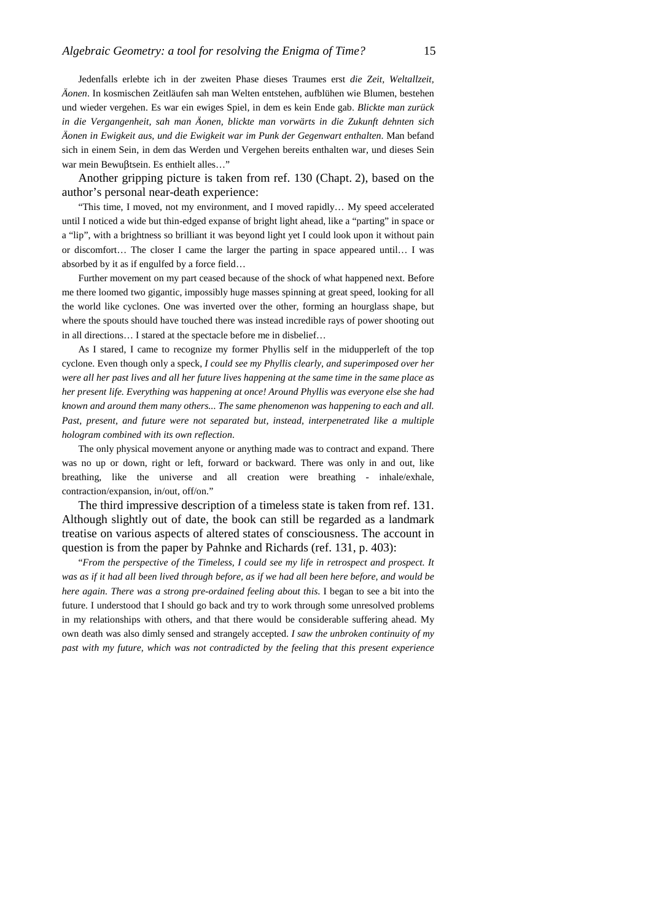Jedenfalls erlebte ich in der zweiten Phase dieses Traumes erst *die Zeit, Weltallzeit, Äonen*. In kosmischen Zeitläufen sah man Welten entstehen, aufblühen wie Blumen, bestehen und wieder vergehen. Es war ein ewiges Spiel, in dem es kein Ende gab. *Blickte man zurück in die Vergangenheit, sah man Äonen, blickte man vorwärts in die Zukunft dehnten sich Äonen in Ewigkeit aus, und die Ewigkeit war im Punk der Gegenwart enthalten*. Man befand sich in einem Sein, in dem das Werden und Vergehen bereits enthalten war, und dieses Sein war mein Bewuβtsein. Es enthielt alles…"

Another gripping picture is taken from ref. 130 (Chapt. 2), based on the author's personal near-death experience:

"This time, I moved, not my environment, and I moved rapidly… My speed accelerated until I noticed a wide but thin-edged expanse of bright light ahead, like a "parting" in space or a "lip", with a brightness so brilliant it was beyond light yet I could look upon it without pain or discomfort… The closer I came the larger the parting in space appeared until… I was absorbed by it as if engulfed by a force field…

Further movement on my part ceased because of the shock of what happened next. Before me there loomed two gigantic, impossibly huge masses spinning at great speed, looking for all the world like cyclones. One was inverted over the other, forming an hourglass shape, but where the spouts should have touched there was instead incredible rays of power shooting out in all directions… I stared at the spectacle before me in disbelief…

As I stared, I came to recognize my former Phyllis self in the midupperleft of the top cyclone. Even though only a speck, *I could see my Phyllis clearly, and superimposed over her were all her past lives and all her future lives happening at the same time in the same place as her present life. Everything was happening at once! Around Phyllis was everyone else she had known and around them many others... The same phenomenon was happening to each and all.*  Past, present, and future were not separated but, instead, interpenetrated like a multiple *hologram combined with its own reflection*.

The only physical movement anyone or anything made was to contract and expand. There was no up or down, right or left, forward or backward. There was only in and out, like breathing, like the universe and all creation were breathing - inhale/exhale, contraction/expansion, in/out, off/on."

The third impressive description of a timeless state is taken from ref. 131. Although slightly out of date, the book can still be regarded as a landmark treatise on various aspects of altered states of consciousness. The account in question is from the paper by Pahnke and Richards (ref. 131, p. 403):

"*From the perspective of the Timeless, I could see my life in retrospect and prospect. It was as if it had all been lived through before, as if we had all been here before, and would be here again. There was a strong pre-ordained feeling about this*. I began to see a bit into the future. I understood that I should go back and try to work through some unresolved problems in my relationships with others, and that there would be considerable suffering ahead. My own death was also dimly sensed and strangely accepted. *I saw the unbroken continuity of my past with my future, which was not contradicted by the feeling that this present experience*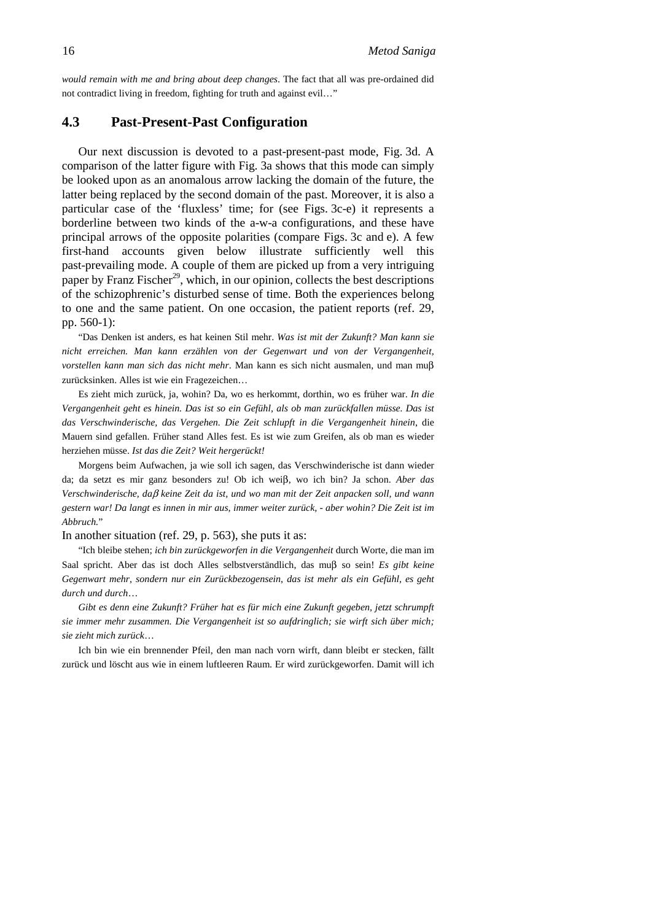*would remain with me and bring about deep changes*. The fact that all was pre-ordained did not contradict living in freedom, fighting for truth and against evil…"

#### **4.3 Past-Present-Past Configuration**

Our next discussion is devoted to a past-present-past mode, Fig. 3d. A comparison of the latter figure with Fig. 3a shows that this mode can simply be looked upon as an anomalous arrow lacking the domain of the future, the latter being replaced by the second domain of the past. Moreover, it is also a particular case of the 'fluxless' time; for (see Figs. 3c-e) it represents a borderline between two kinds of the a-w-a configurations, and these have principal arrows of the opposite polarities (compare Figs. 3c and e). A few first-hand accounts given below illustrate sufficiently well this past-prevailing mode. A couple of them are picked up from a very intriguing paper by Franz Fischer<sup>29</sup>, which, in our opinion, collects the best descriptions of the schizophrenic's disturbed sense of time. Both the experiences belong to one and the same patient. On one occasion, the patient reports (ref. 29, pp. 560-1):

"Das Denken ist anders, es hat keinen Stil mehr. *Was ist mit der Zukunft? Man kann sie nicht erreichen. Man kann erzählen von der Gegenwart und von der Vergangenheit, vorstellen kann man sich das nicht mehr*. Man kann es sich nicht ausmalen, und man muβ zurücksinken. Alles ist wie ein Fragezeichen…

Es zieht mich zurück, ja, wohin? Da, wo es herkommt, dorthin, wo es früher war. *In die Vergangenheit geht es hinein. Das ist so ein Gefühl, als ob man zurückfallen müsse. Das ist das Verschwinderische, das Vergehen. Die Zeit schlupft in die Vergangenheit hinein*, die Mauern sind gefallen. Früher stand Alles fest. Es ist wie zum Greifen, als ob man es wieder herziehen müsse. *Ist das die Zeit? Weit hergerückt!*

Morgens beim Aufwachen, ja wie soll ich sagen, das Verschwinderische ist dann wieder da; da setzt es mir ganz besonders zu! Ob ich weiβ, wo ich bin? Ja schon. *Aber das Verschwinderische, da*β *keine Zeit da ist, und wo man mit der Zeit anpacken soll, und wann gestern war! Da langt es innen in mir aus, immer weiter zurück, - aber wohin? Die Zeit ist im Abbruch.*"

In another situation (ref. 29, p. 563), she puts it as:

"Ich bleibe stehen; *ich bin zurückgeworfen in die Vergangenheit* durch Worte, die man im Saal spricht. Aber das ist doch Alles selbstverständlich, das muβ so sein! *Es gibt keine Gegenwart mehr, sondern nur ein Zurückbezogensein, das ist mehr als ein Gefühl, es geht durch und durch*…

*Gibt es denn eine Zukunft? Früher hat es für mich eine Zukunft gegeben, jetzt schrumpft sie immer mehr zusammen. Die Vergangenheit ist so aufdringlich; sie wirft sich über mich; sie zieht mich zurück*…

Ich bin wie ein brennender Pfeil, den man nach vorn wirft, dann bleibt er stecken, fällt zurück und löscht aus wie in einem luftleeren Raum. Er wird zurückgeworfen. Damit will ich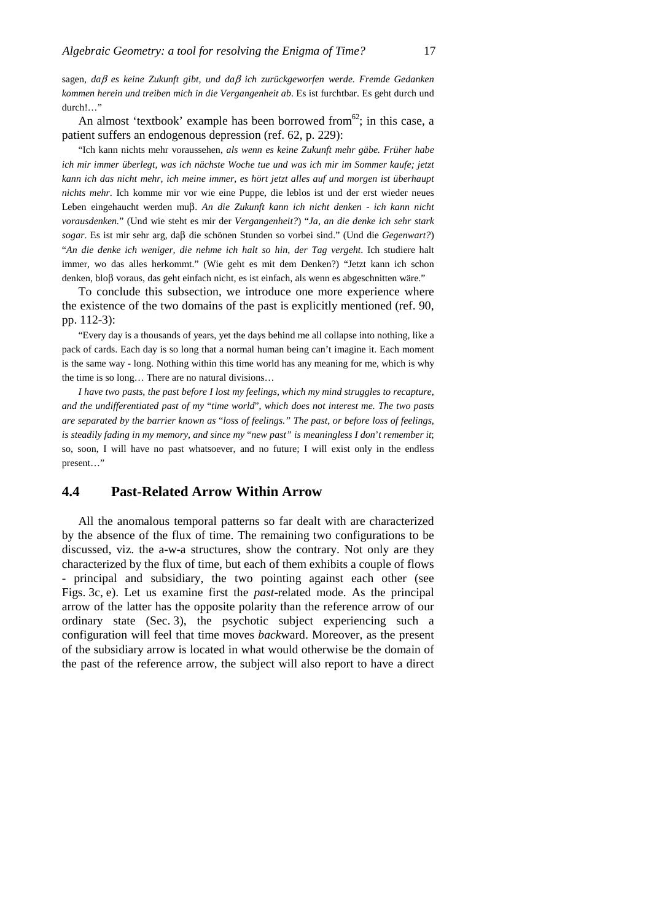sagen, *da*β *es keine Zukunft gibt, und da*β *ich zurückgeworfen werde. Fremde Gedanken kommen herein und treiben mich in die Vergangenheit ab*. Es ist furchtbar. Es geht durch und durch!…"

An almost 'textbook' example has been borrowed from<sup>62</sup>; in this case, a patient suffers an endogenous depression (ref. 62, p. 229):

"Ich kann nichts mehr voraussehen, *als wenn es keine Zukunft mehr gäbe. Früher habe ich mir immer überlegt, was ich nächste Woche tue und was ich mir im Sommer kaufe; jetzt kann ich das nicht mehr, ich meine immer, es hört jetzt alles auf und morgen ist überhaupt nichts mehr*. Ich komme mir vor wie eine Puppe, die leblos ist und der erst wieder neues Leben eingehaucht werden muβ. *An die Zukunft kann ich nicht denken - ich kann nicht vorausdenken.*" (Und wie steht es mir der *Vergangenheit?*) "*Ja, an die denke ich sehr stark sogar*. Es ist mir sehr arg, daβ die schönen Stunden so vorbei sind." (Und die *Gegenwart?*) "*An die denke ich weniger, die nehme ich halt so hin, der Tag vergeht*. Ich studiere halt immer, wo das alles herkommt." (Wie geht es mit dem Denken?) "Jetzt kann ich schon denken, bloβ voraus, das geht einfach nicht, es ist einfach, als wenn es abgeschnitten wäre."

To conclude this subsection, we introduce one more experience where the existence of the two domains of the past is explicitly mentioned (ref. 90, pp. 112-3):

"Every day is a thousands of years, yet the days behind me all collapse into nothing, like a pack of cards. Each day is so long that a normal human being can't imagine it. Each moment is the same way - long. Nothing within this time world has any meaning for me, which is why the time is so long… There are no natural divisions…

*I have two pasts, the past before I lost my feelings, which my mind struggles to recapture, and the undifferentiated past of my* "*time world*", *which does not interest me. The two pasts are separated by the barrier known as* "*loss of feelings." The past, or before loss of feelings, is steadily fading in my memory, and since my* "*new past" is meaningless I don*'*t remember it*; so, soon, I will have no past whatsoever, and no future; I will exist only in the endless present…"

#### **4.4 Past-Related Arrow Within Arrow**

All the anomalous temporal patterns so far dealt with are characterized by the absence of the flux of time. The remaining two configurations to be discussed, viz. the a-w-a structures, show the contrary. Not only are they characterized by the flux of time, but each of them exhibits a couple of flows - principal and subsidiary, the two pointing against each other (see Figs. 3c, e). Let us examine first the *past*-related mode. As the principal arrow of the latter has the opposite polarity than the reference arrow of our ordinary state (Sec. 3), the psychotic subject experiencing such a configuration will feel that time moves *back*ward. Moreover, as the present of the subsidiary arrow is located in what would otherwise be the domain of the past of the reference arrow, the subject will also report to have a direct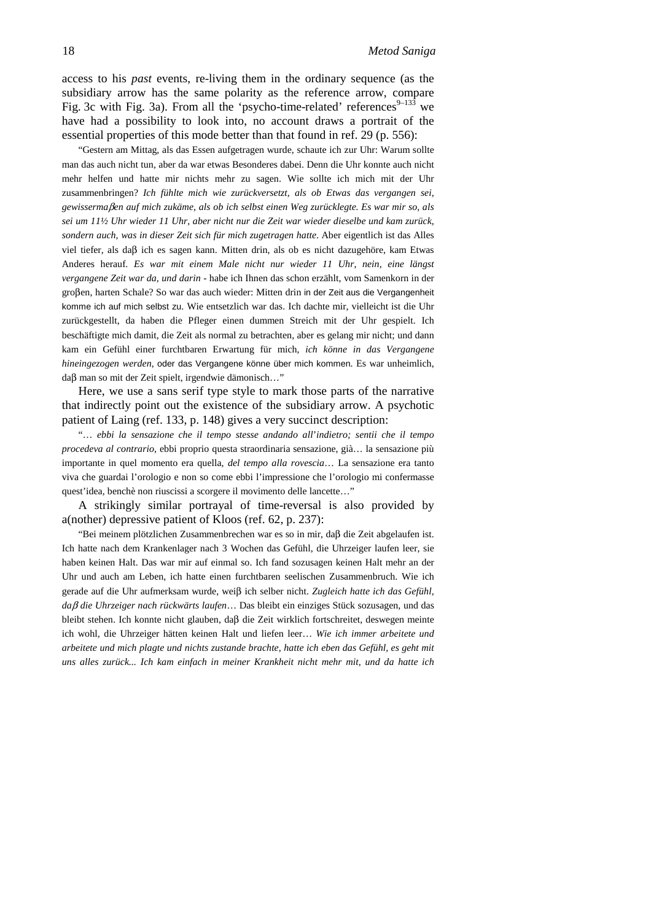access to his *past* events, re-living them in the ordinary sequence (as the subsidiary arrow has the same polarity as the reference arrow, compare Fig. 3c with Fig. 3a). From all the 'psycho-time-related' references<sup>9–133</sup> we have had a possibility to look into, no account draws a portrait of the essential properties of this mode better than that found in ref. 29 (p. 556):

"Gestern am Mittag, als das Essen aufgetragen wurde, schaute ich zur Uhr: Warum sollte man das auch nicht tun, aber da war etwas Besonderes dabei. Denn die Uhr konnte auch nicht mehr helfen und hatte mir nichts mehr zu sagen. Wie sollte ich mich mit der Uhr zusammenbringen? *Ich fühlte mich wie zurückversetzt, als ob Etwas das vergangen sei, gewisserma*β*en auf mich zukäme, als ob ich selbst einen Weg zurücklegte. Es war mir so, als sei um 11½ Uhr wieder 11 Uhr, aber nicht nur die Zeit war wieder dieselbe und kam zurück, sondern auch, was in dieser Zeit sich für mich zugetragen hatte*. Aber eigentlich ist das Alles viel tiefer, als daβ ich es sagen kann. Mitten drin, als ob es nicht dazugehöre, kam Etwas Anderes herauf. *Es war mit einem Male nicht nur wieder 11 Uhr, nein, eine längst vergangene Zeit war da, und darin* - habe ich Ihnen das schon erzählt, vom Samenkorn in der groβen, harten Schale? So war das auch wieder: Mitten drin in der Zeit aus die Vergangenheit komme ich auf mich selbst zu. Wie entsetzlich war das. Ich dachte mir, vielleicht ist die Uhr zurückgestellt, da haben die Pfleger einen dummen Streich mit der Uhr gespielt. Ich beschäftigte mich damit, die Zeit als normal zu betrachten, aber es gelang mir nicht; und dann kam ein Gefühl einer furchtbaren Erwartung für mich, *ich könne in das Vergangene hineingezogen werden*, oder das Vergangene könne über mich kommen. Es war unheimlich, daβ man so mit der Zeit spielt, irgendwie dämonisch…"

Here, we use a sans serif type style to mark those parts of the narrative that indirectly point out the existence of the subsidiary arrow. A psychotic patient of Laing (ref. 133, p. 148) gives a very succinct description:

"… *ebbi la sensazione che il tempo stesse andando all*'*indietro; sentii che il tempo procedeva al contrario*, ebbi proprio questa straordinaria sensazione, già… la sensazione più importante in quel momento era quella, *del tempo alla rovescia*… La sensazione era tanto viva che guardai l'orologio e non so come ebbi l'impressione che l'orologio mi confermasse quest'idea, benchè non riuscissi a scorgere il movimento delle lancette…"

A strikingly similar portrayal of time-reversal is also provided by a(nother) depressive patient of Kloos (ref. 62, p. 237):

"Bei meinem plötzlichen Zusammenbrechen war es so in mir, daβ die Zeit abgelaufen ist. Ich hatte nach dem Krankenlager nach 3 Wochen das Gefühl, die Uhrzeiger laufen leer, sie haben keinen Halt. Das war mir auf einmal so. Ich fand sozusagen keinen Halt mehr an der Uhr und auch am Leben, ich hatte einen furchtbaren seelischen Zusammenbruch. Wie ich gerade auf die Uhr aufmerksam wurde, weiβ ich selber nicht. *Zugleich hatte ich das Gefühl, da*β *die Uhrzeiger nach rückwärts laufen*… Das bleibt ein einziges Stück sozusagen, und das bleibt stehen. Ich konnte nicht glauben, daβ die Zeit wirklich fortschreitet, deswegen meinte ich wohl, die Uhrzeiger hätten keinen Halt und liefen leer… *Wie ich immer arbeitete und arbeitete und mich plagte und nichts zustande brachte, hatte ich eben das Gefühl, es geht mit uns alles zurück... Ich kam einfach in meiner Krankheit nicht mehr mit, und da hatte ich*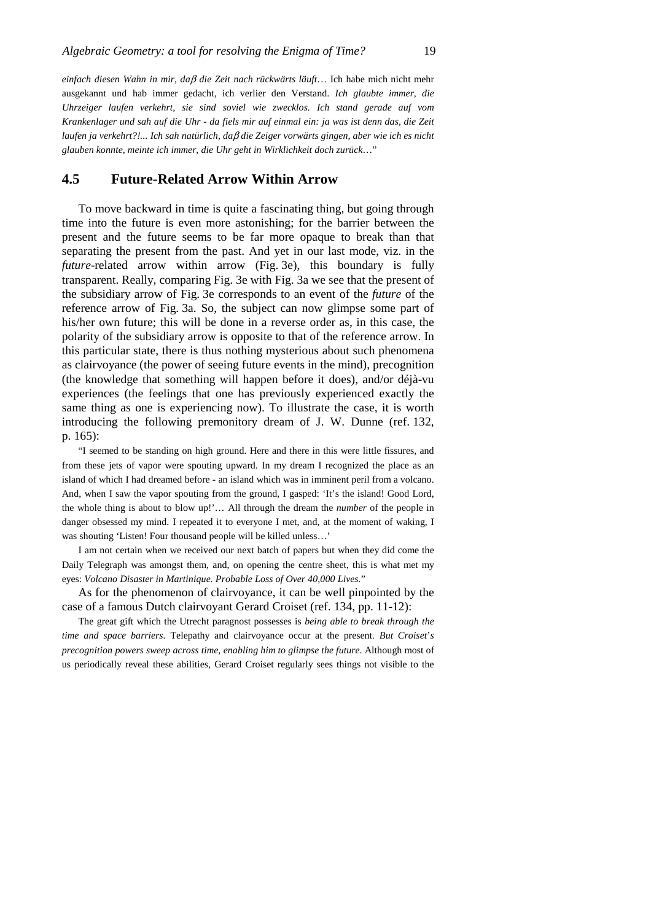*einfach diesen Wahn in mir, da*β *die Zeit nach rückwärts läuft*… Ich habe mich nicht mehr ausgekannt und hab immer gedacht, ich verlier den Verstand. *Ich glaubte immer, die Uhrzeiger laufen verkehrt, sie sind soviel wie zwecklos. Ich stand gerade auf vom Krankenlager und sah auf die Uhr - da fiels mir auf einmal ein: ja was ist denn das, die Zeit laufen ja verkehrt?!... Ich sah natürlich, da*β *die Zeiger vorwärts gingen, aber wie ich es nicht glauben konnte, meinte ich immer, die Uhr geht in Wirklichkeit doch zurück*…"

#### **4.5 Future-Related Arrow Within Arrow**

To move backward in time is quite a fascinating thing, but going through time into the future is even more astonishing; for the barrier between the present and the future seems to be far more opaque to break than that separating the present from the past. And yet in our last mode, viz. in the *future*-related arrow within arrow (Fig. 3e), this boundary is fully transparent. Really, comparing Fig. 3e with Fig. 3a we see that the present of the subsidiary arrow of Fig. 3e corresponds to an event of the *future* of the reference arrow of Fig. 3a. So, the subject can now glimpse some part of his/her own future; this will be done in a reverse order as, in this case, the polarity of the subsidiary arrow is opposite to that of the reference arrow. In this particular state, there is thus nothing mysterious about such phenomena as clairvoyance (the power of seeing future events in the mind), precognition (the knowledge that something will happen before it does), and/or déjà-vu experiences (the feelings that one has previously experienced exactly the same thing as one is experiencing now). To illustrate the case, it is worth introducing the following premonitory dream of J. W. Dunne (ref. 132, p. 165):

"I seemed to be standing on high ground. Here and there in this were little fissures, and from these jets of vapor were spouting upward. In my dream I recognized the place as an island of which I had dreamed before - an island which was in imminent peril from a volcano. And, when I saw the vapor spouting from the ground, I gasped: 'It's the island! Good Lord, the whole thing is about to blow up!'… All through the dream the *number* of the people in danger obsessed my mind. I repeated it to everyone I met, and, at the moment of waking, I was shouting 'Listen! Four thousand people will be killed unless…'

I am not certain when we received our next batch of papers but when they did come the Daily Telegraph was amongst them, and, on opening the centre sheet, this is what met my eyes: *Volcano Disaster in Martinique. Probable Loss of Over 40,000 Lives.*"

As for the phenomenon of clairvoyance, it can be well pinpointed by the case of a famous Dutch clairvoyant Gerard Croiset (ref. 134, pp. 11-12):

The great gift which the Utrecht paragnost possesses is *being able to break through the time and space barriers*. Telepathy and clairvoyance occur at the present. *But Croiset*'*s precognition powers sweep across time, enabling him to glimpse the future*. Although most of us periodically reveal these abilities, Gerard Croiset regularly sees things not visible to the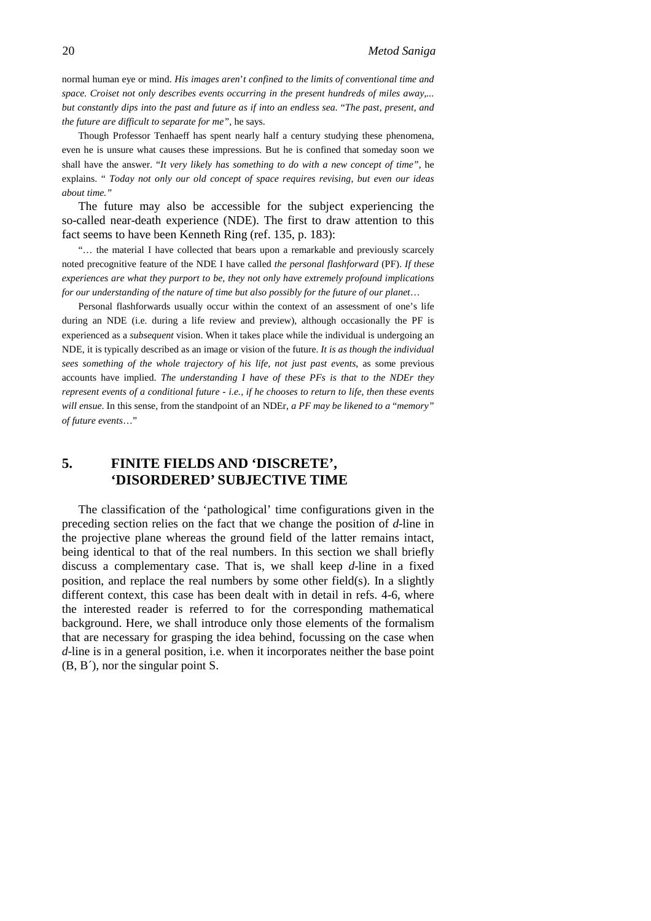normal human eye or mind. *His images aren*'*t confined to the limits of conventional time and space. Croiset not only describes events occurring in the present hundreds of miles away,... but constantly dips into the past and future as if into an endless sea.* "*The past, present, and the future are difficult to separate for me",* he says.

Though Professor Tenhaeff has spent nearly half a century studying these phenomena, even he is unsure what causes these impressions. But he is confined that someday soon we shall have the answer. "*It very likely has something to do with a new concept of time"*, he explains. " *Today not only our old concept of space requires revising, but even our ideas about time."*

The future may also be accessible for the subject experiencing the so-called near-death experience (NDE). The first to draw attention to this fact seems to have been Kenneth Ring (ref. 135, p. 183):

"… the material I have collected that bears upon a remarkable and previously scarcely noted precognitive feature of the NDE I have called *the personal flashforward* (PF). *If these experiences are what they purport to be, they not only have extremely profound implications for our understanding of the nature of time but also possibly for the future of our planet*…

Personal flashforwards usually occur within the context of an assessment of one's life during an NDE (i.e. during a life review and preview), although occasionally the PF is experienced as a *subsequent* vision. When it takes place while the individual is undergoing an NDE, it is typically described as an image or vision of the future. *It is as though the individual sees something of the whole trajectory of his life, not just past events*, as some previous accounts have implied. *The understanding I have of these PFs is that to the NDEr they represent events of a conditional future - i.e., if he chooses to return to life, then these events will ensue*. In this sense, from the standpoint of an NDEr, *a PF may be likened to a* "*memory" of future events*…"

### **5. FINITE FIELDS AND 'DISCRETE', 'DISORDERED' SUBJECTIVE TIME**

The classification of the 'pathological' time configurations given in the preceding section relies on the fact that we change the position of *d*-line in the projective plane whereas the ground field of the latter remains intact, being identical to that of the real numbers. In this section we shall briefly discuss a complementary case. That is, we shall keep *d*-line in a fixed position, and replace the real numbers by some other field(s). In a slightly different context, this case has been dealt with in detail in refs. 4-6, where the interested reader is referred to for the corresponding mathematical background. Here, we shall introduce only those elements of the formalism that are necessary for grasping the idea behind, focussing on the case when *d*-line is in a general position, i.e. when it incorporates neither the base point (B, B´), nor the singular point S.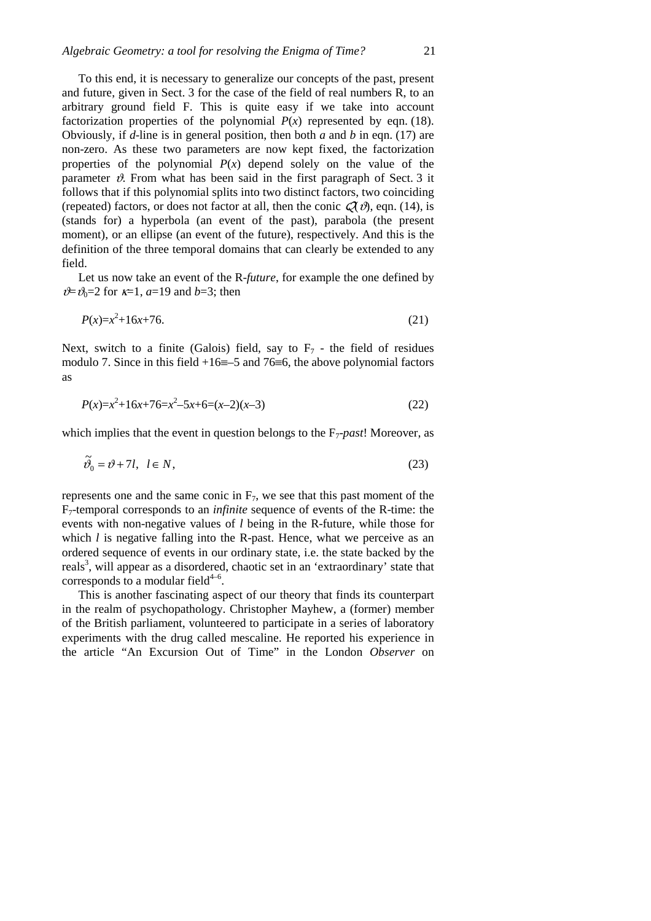To this end, it is necessary to generalize our concepts of the past, present and future, given in Sect. 3 for the case of the field of real numbers R, to an arbitrary ground field F. This is quite easy if we take into account factorization properties of the polynomial  $P(x)$  represented by eqn. (18). Obviously, if *d*-line is in general position, then both *a* and *b* in eqn. (17) are non-zero. As these two parameters are now kept fixed, the factorization properties of the polynomial  $P(x)$  depend solely on the value of the parameter  $\vartheta$ . From what has been said in the first paragraph of Sect. 3 it follows that if this polynomial splits into two distinct factors, two coinciding (repeated) factors, or does not factor at all, then the conic  $\mathcal{Q}(\theta)$ , eqn. (14), is (stands for) a hyperbola (an event of the past), parabola (the present moment), or an ellipse (an event of the future), respectively. And this is the definition of the three temporal domains that can clearly be extended to any field.

Let us now take an event of the R-*future*, for example the one defined by  $v = v_0 = 2$  for  $\kappa = 1$ ,  $a = 19$  and  $b = 3$ ; then

$$
P(x)=x^2+16x+76.\t(21)
$$

Next, switch to a finite (Galois) field, say to  $F_7$  - the field of residues modulo 7. Since in this field +16≡–5 and 76≡6, the above polynomial factors as

$$
P(x)=x^2+16x+76=x^2-5x+6=(x-2)(x-3)
$$
\n(22)

which implies that the event in question belongs to the  $F_7$ -past! Moreover, as

$$
\tilde{\vartheta}_0 = \vartheta + 7l, \quad l \in N,\tag{23}
$$

represents one and the same conic in  $F_7$ , we see that this past moment of the F7-temporal corresponds to an *infinite* sequence of events of the R-time: the events with non-negative values of *l* being in the R-future, while those for which  $l$  is negative falling into the R-past. Hence, what we perceive as an ordered sequence of events in our ordinary state, i.e. the state backed by the reals<sup>3</sup>, will appear as a disordered, chaotic set in an 'extraordinary' state that corresponds to a modular field $4-6$ .

This is another fascinating aspect of our theory that finds its counterpart in the realm of psychopathology. Christopher Mayhew, a (former) member of the British parliament, volunteered to participate in a series of laboratory experiments with the drug called mescaline. He reported his experience in the article "An Excursion Out of Time" in the London *Observer* on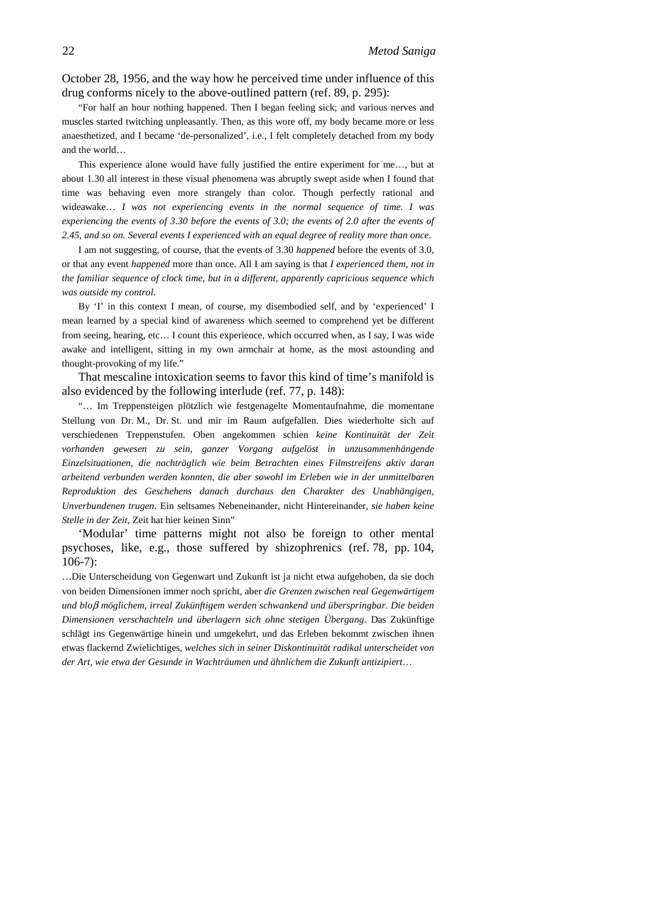October 28, 1956, and the way how he perceived time under influence of this drug conforms nicely to the above-outlined pattern (ref. 89, p. 295):

"For half an hour nothing happened. Then I began feeling sick; and various nerves and muscles started twitching unpleasantly. Then, as this wore off, my body became more or less anaesthetized, and I became 'de-personalized', i.e., I felt completely detached from my body and the world…

This experience alone would have fully justified the entire experiment for me…, but at about 1.30 all interest in these visual phenomena was abruptly swept aside when I found that time was behaving even more strangely than color. Though perfectly rational and wideawake… *I was not experiencing events in the normal sequence of time. I was experiencing the events of 3.30 before the events of 3.0; the events of 2.0 after the events of 2.45, and so on. Several events I experienced with an equal degree of reality more than once*.

I am not suggesting, of course, that the events of 3.30 *happened* before the events of 3.0, or that any event *happened* more than once. All I am saying is that *I experienced them, not in the familiar sequence of clock time, but in a different, apparently capricious sequence which was outside my control*.

By 'I' in this context I mean, of course, my disembodied self, and by 'experienced' I mean learned by a special kind of awareness which seemed to comprehend yet be different from seeing, hearing, etc… I count this experience, which occurred when, as I say, I was wide awake and intelligent, sitting in my own armchair at home, as the most astounding and thought-provoking of my life."

That mescaline intoxication seems to favor this kind of time's manifold is also evidenced by the following interlude (ref. 77, p. 148):

"… Im Treppensteigen plötzlich wie festgenagelte Momentaufnahme, die momentane Stellung von Dr. M., Dr. St. und mir im Raum aufgefallen. Dies wiederholte sich auf verschiedenen Treppenstufen. Oben angekommen schien *keine Kontinuität der Zeit vorhanden gewesen zu sein, ganzer Vorgang aufgelöst in unzusammenhängende Einzelsituationen, die nachträglich wie beim Betrachten eines Filmstreifens aktiv daran arbeitend verbunden werden konnten, die aber sowohl im Erleben wie in der unmittelbaren Reproduktion des Geschehens danach durchaus den Charakter des Unabhängigen, Unverbundenen trugen*. Ein seltsames Nebeneinander, nicht Hintereinander, *sie haben keine Stelle in der Zeit*, Zeit hat hier keinen Sinn"

'Modular' time patterns might not also be foreign to other mental psychoses, like, e.g., those suffered by shizophrenics (ref. 78, pp. 104, 106-7):

…Die Unterscheidung von Gegenwart und Zukunft ist ja nicht etwa aufgehoben, da sie doch von beiden Dimensionen immer noch spricht, aber *die Grenzen zwischen real Gegenwärtigem und blo*β *möglichem, irreal Zukünftigem werden schwankend und überspringbar. Die beiden Dimensionen verschachteln und überlagern sich ohne stetigen Übergang*. Das Zukünftige schlägt ins Gegenwärtige hinein und umgekehrt, und das Erleben bekommt zwischen ihnen etwas flackernd Zwielichtiges, *welches sich in seiner Diskontinuität radikal unterscheidet von der Art, wie etwa der Gesunde in Wachträumen und ähnlichem die Zukunft antizipiert*…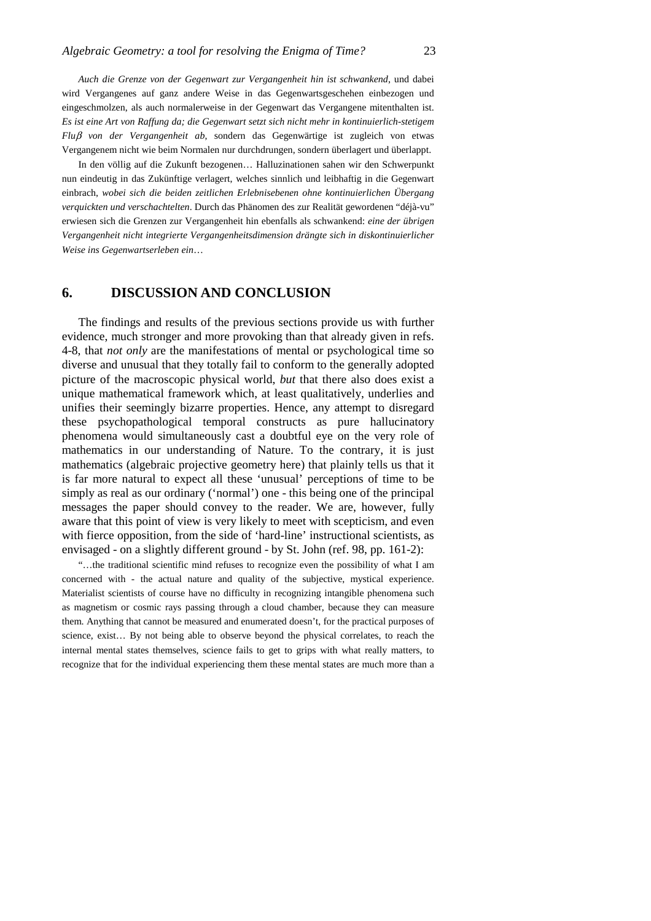*Auch die Grenze von der Gegenwart zur Vergangenheit hin ist schwankend*, und dabei wird Vergangenes auf ganz andere Weise in das Gegenwartsgeschehen einbezogen und eingeschmolzen, als auch normalerweise in der Gegenwart das Vergangene mitenthalten ist. *Es ist eine Art von Raffung da; die Gegenwart setzt sich nicht mehr in kontinuierlich-stetigem Flu*β *von der Vergangenheit ab*, sondern das Gegenwärtige ist zugleich von etwas Vergangenem nicht wie beim Normalen nur durchdrungen, sondern überlagert und überlappt.

In den völlig auf die Zukunft bezogenen… Halluzinationen sahen wir den Schwerpunkt nun eindeutig in das Zukünftige verlagert, welches sinnlich und leibhaftig in die Gegenwart einbrach, *wobei sich die beiden zeitlichen Erlebnisebenen ohne kontinuierlichen Übergang verquickten und verschachtelten*. Durch das Phänomen des zur Realität gewordenen "déjà-vu" erwiesen sich die Grenzen zur Vergangenheit hin ebenfalls als schwankend: *eine der übrigen Vergangenheit nicht integrierte Vergangenheitsdimension drängte sich in diskontinuierlicher Weise ins Gegenwartserleben ein*…

### **6. DISCUSSION AND CONCLUSION**

The findings and results of the previous sections provide us with further evidence, much stronger and more provoking than that already given in refs. 4-8, that *not only* are the manifestations of mental or psychological time so diverse and unusual that they totally fail to conform to the generally adopted picture of the macroscopic physical world, *but* that there also does exist a unique mathematical framework which, at least qualitatively, underlies and unifies their seemingly bizarre properties. Hence, any attempt to disregard these psychopathological temporal constructs as pure hallucinatory phenomena would simultaneously cast a doubtful eye on the very role of mathematics in our understanding of Nature. To the contrary, it is just mathematics (algebraic projective geometry here) that plainly tells us that it is far more natural to expect all these 'unusual' perceptions of time to be simply as real as our ordinary ('normal') one - this being one of the principal messages the paper should convey to the reader. We are, however, fully aware that this point of view is very likely to meet with scepticism, and even with fierce opposition, from the side of 'hard-line' instructional scientists, as envisaged - on a slightly different ground - by St. John (ref. 98, pp. 161-2):

"…the traditional scientific mind refuses to recognize even the possibility of what I am concerned with - the actual nature and quality of the subjective, mystical experience. Materialist scientists of course have no difficulty in recognizing intangible phenomena such as magnetism or cosmic rays passing through a cloud chamber, because they can measure them. Anything that cannot be measured and enumerated doesn't, for the practical purposes of science, exist… By not being able to observe beyond the physical correlates, to reach the internal mental states themselves, science fails to get to grips with what really matters, to recognize that for the individual experiencing them these mental states are much more than a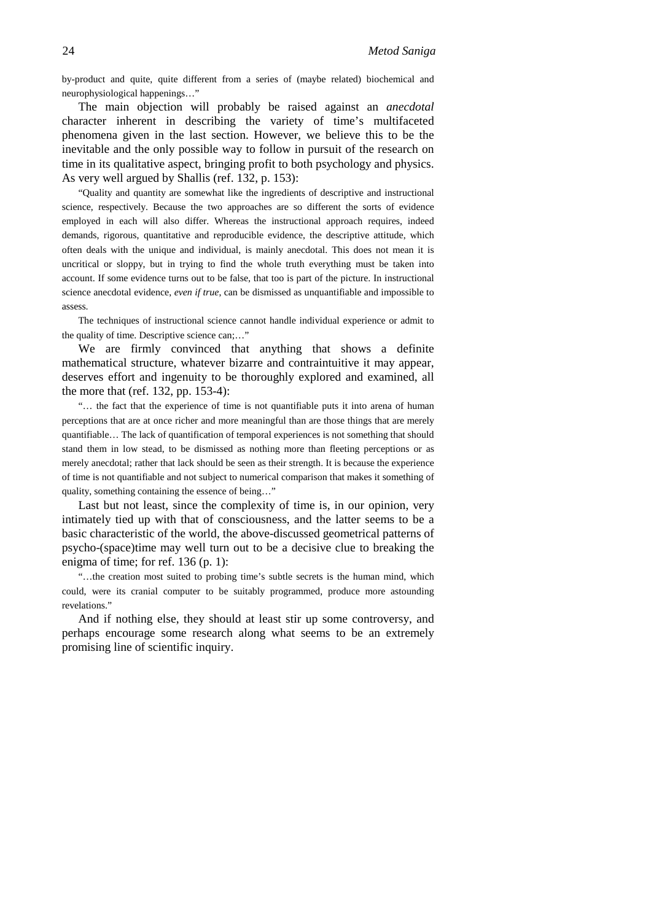by-product and quite, quite different from a series of (maybe related) biochemical and neurophysiological happenings…"

The main objection will probably be raised against an *anecdotal*  character inherent in describing the variety of time's multifaceted phenomena given in the last section. However, we believe this to be the inevitable and the only possible way to follow in pursuit of the research on time in its qualitative aspect, bringing profit to both psychology and physics. As very well argued by Shallis (ref. 132, p. 153):

"Quality and quantity are somewhat like the ingredients of descriptive and instructional science, respectively. Because the two approaches are so different the sorts of evidence employed in each will also differ. Whereas the instructional approach requires, indeed demands, rigorous, quantitative and reproducible evidence, the descriptive attitude, which often deals with the unique and individual, is mainly anecdotal. This does not mean it is uncritical or sloppy, but in trying to find the whole truth everything must be taken into account. If some evidence turns out to be false, that too is part of the picture. In instructional science anecdotal evidence, *even if true*, can be dismissed as unquantifiable and impossible to assess.

The techniques of instructional science cannot handle individual experience or admit to the quality of time. Descriptive science can;…"

We are firmly convinced that anything that shows a definite mathematical structure, whatever bizarre and contraintuitive it may appear, deserves effort and ingenuity to be thoroughly explored and examined, all the more that (ref. 132, pp. 153-4):

"… the fact that the experience of time is not quantifiable puts it into arena of human perceptions that are at once richer and more meaningful than are those things that are merely quantifiable… The lack of quantification of temporal experiences is not something that should stand them in low stead, to be dismissed as nothing more than fleeting perceptions or as merely anecdotal; rather that lack should be seen as their strength. It is because the experience of time is not quantifiable and not subject to numerical comparison that makes it something of quality, something containing the essence of being…"

Last but not least, since the complexity of time is, in our opinion, very intimately tied up with that of consciousness, and the latter seems to be a basic characteristic of the world, the above-discussed geometrical patterns of psycho-(space)time may well turn out to be a decisive clue to breaking the enigma of time; for ref. 136 (p. 1):

"…the creation most suited to probing time's subtle secrets is the human mind, which could, were its cranial computer to be suitably programmed, produce more astounding revelations."

And if nothing else, they should at least stir up some controversy, and perhaps encourage some research along what seems to be an extremely promising line of scientific inquiry.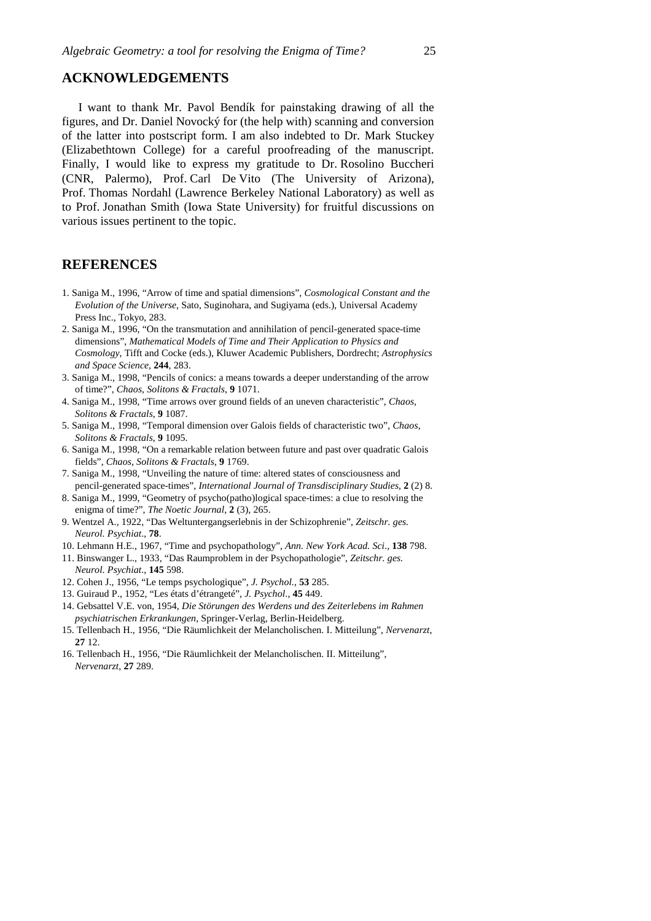#### **ACKNOWLEDGEMENTS**

I want to thank Mr. Pavol Bendík for painstaking drawing of all the figures, and Dr. Daniel Novocký for (the help with) scanning and conversion of the latter into postscript form. I am also indebted to Dr. Mark Stuckey (Elizabethtown College) for a careful proofreading of the manuscript. Finally, I would like to express my gratitude to Dr. Rosolino Buccheri (CNR, Palermo), Prof. Carl De Vito (The University of Arizona), Prof. Thomas Nordahl (Lawrence Berkeley National Laboratory) as well as to Prof. Jonathan Smith (Iowa State University) for fruitful discussions on various issues pertinent to the topic.

#### **REFERENCES**

- 1. Saniga M., 1996, "Arrow of time and spatial dimensions", *Cosmological Constant and the Evolution of the Universe*, Sato, Suginohara, and Sugiyama (eds.), Universal Academy Press Inc., Tokyo, 283.
- 2. Saniga M., 1996, "On the transmutation and annihilation of pencil-generated space-time dimensions", *Mathematical Models of Time and Their Application to Physics and Cosmology*, Tifft and Cocke (eds.), Kluwer Academic Publishers, Dordrecht; *Astrophysics and Space Science*, **244**, 283.
- 3. Saniga M., 1998, "Pencils of conics: a means towards a deeper understanding of the arrow of time?", *Chaos, Solitons & Fractals*, **9** 1071.
- 4. Saniga M., 1998, "Time arrows over ground fields of an uneven characteristic", *Chaos, Solitons & Fractals*, **9** 1087.
- 5. Saniga M., 1998, "Temporal dimension over Galois fields of characteristic two", *Chaos, Solitons & Fractals*, **9** 1095.
- 6. Saniga M., 1998, "On a remarkable relation between future and past over quadratic Galois fields", *Chaos, Solitons & Fractals*, **9** 1769.
- 7. Saniga M., 1998, "Unveiling the nature of time: altered states of consciousness and pencil-generated space-times", *International Journal of Transdisciplinary Studies*, **2** (2) 8.
- 8. Saniga M., 1999, "Geometry of psycho(patho)logical space-times: a clue to resolving the enigma of time?", *The Noetic Journal*, **2** (3), 265.
- 9. Wentzel A., 1922, "Das Weltuntergangserlebnis in der Schizophrenie", *Zeitschr. ges. Neurol. Psychiat*., **78**.
- 10. Lehmann H.E., 1967, "Time and psychopathology", *Ann. New York Acad. Sci*., **138** 798.
- 11. Binswanger L., 1933, "Das Raumproblem in der Psychopathologie", *Zeitschr. ges. Neurol. Psychiat*., **145** 598.
- 12. Cohen J., 1956, "Le temps psychologique", *J. Psychol.*, **53** 285.
- 13. Guiraud P., 1952, "Les états d'étrangeté", *J. Psychol*., **45** 449.
- 14. Gebsattel V.E. von, 1954, *Die Störungen des Werdens und des Zeiterlebens im Rahmen psychiatrischen Erkrankungen*, Springer-Verlag, Berlin-Heidelberg.
- 15. Tellenbach H., 1956, "Die Räumlichkeit der Melancholischen. I. Mitteilung", *Nervenarzt*, **27** 12.
- 16. Tellenbach H., 1956, "Die Räumlichkeit der Melancholischen. II. Mitteilung", *Nervenarzt*, **27** 289.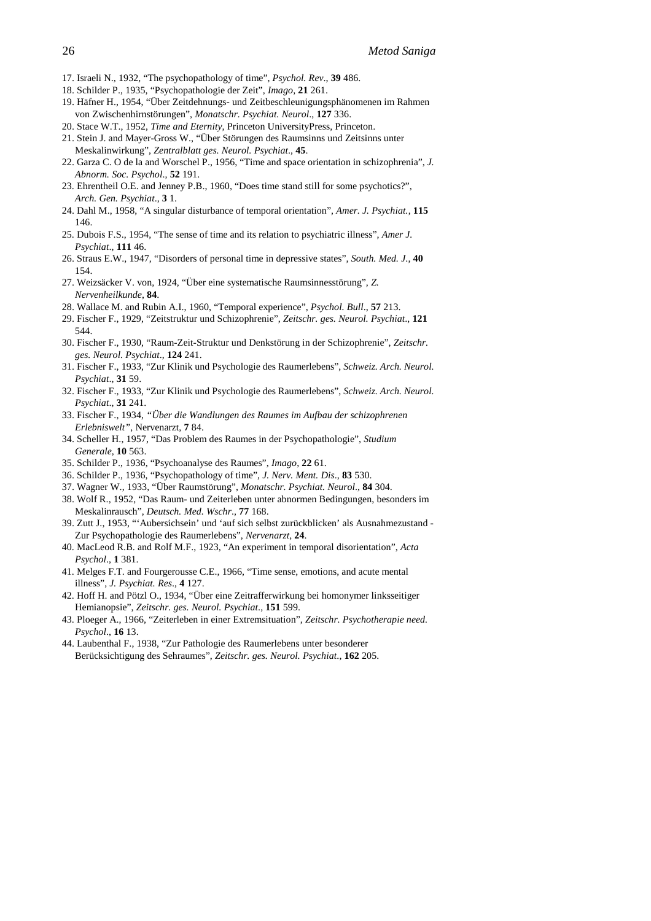- 17. Israeli N., 1932, "The psychopathology of time", *Psychol. Rev*., **39** 486.
- 18. Schilder P., 1935, "Psychopathologie der Zeit", *Imago*, **21** 261.
- 19. Häfner H., 1954, "Über Zeitdehnungs- und Zeitbeschleunigungsphänomenen im Rahmen von Zwischenhirnstörungen", *Monatschr. Psychiat. Neurol*., **127** 336.
- 20. Stace W.T., 1952, *Time and Eternity*, Princeton UniversityPress, Princeton.
- 21. Stein J. and Mayer-Gross W., "Über Störungen des Raumsinns und Zeitsinns unter Meskalinwirkung", *Zentralblatt ges. Neurol. Psychiat*., **45**.
- 22. Garza C. O de la and Worschel P., 1956, "Time and space orientation in schizophrenia", *J. Abnorm. Soc. Psychol*., **52** 191.
- 23. Ehrentheil O.E. and Jenney P.B., 1960, "Does time stand still for some psychotics?", *Arch. Gen. Psychiat*., **3** 1.
- 24. Dahl M., 1958, "A singular disturbance of temporal orientation", *Amer. J. Psychiat.*, **115** 146.
- 25. Dubois F.S., 1954, "The sense of time and its relation to psychiatric illness", *Amer J. Psychiat*., **111** 46.
- 26. Straus E.W., 1947, "Disorders of personal time in depressive states", *South. Med. J*., **40** 154.
- 27. Weizsäcker V. von, 1924, "Über eine systematische Raumsinnesstörung", *Z. Nervenheilkunde*, **84**.
- 28. Wallace M. and Rubin A.I., 1960, "Temporal experience", *Psychol. Bull*., **57** 213.
- 29. Fischer F., 1929, "Zeitstruktur und Schizophrenie", *Zeitschr. ges. Neurol. Psychiat*., **121** 544.
- 30. Fischer F., 1930, "Raum-Zeit-Struktur und Denkstörung in der Schizophrenie", *Zeitschr. ges. Neurol. Psychiat*., **124** 241.
- 31. Fischer F., 1933, "Zur Klinik und Psychologie des Raumerlebens", *Schweiz. Arch. Neurol. Psychiat*., **31** 59.
- 32. Fischer F., 1933, "Zur Klinik und Psychologie des Raumerlebens", *Schweiz. Arch. Neurol. Psychiat*., **31** 241.
- 33. Fischer F., 1934, *"Über die Wandlungen des Raumes im Aufbau der schizophrenen Erlebniswelt"*, Nervenarzt, **7** 84.
- 34. Scheller H., 1957, "Das Problem des Raumes in der Psychopathologie", *Studium Generale*, **10** 563.
- 35. Schilder P., 1936, "Psychoanalyse des Raumes", *Imago*, **22** 61.
- 36. Schilder P., 1936, "Psychopathology of time", *J. Nerv. Ment. Dis*., **83** 530.
- 37. Wagner W., 1933, "Über Raumstörung", *Monatschr. Psychiat. Neurol*., **84** 304.
- 38. Wolf R., 1952, "Das Raum- und Zeiterleben unter abnormen Bedingungen, besonders im Meskalinrausch", *Deutsch. Med. Wschr*., **77** 168.
- 39. Zutt J., 1953, "'Aubersichsein' und 'auf sich selbst zurückblicken' als Ausnahmezustand Zur Psychopathologie des Raumerlebens", *Nervenarzt*, **24**.
- 40. MacLeod R.B. and Rolf M.F., 1923, "An experiment in temporal disorientation", *Acta Psychol*., **1** 381.
- 41. Melges F.T. and Fourgerousse C.E., 1966, "Time sense, emotions, and acute mental illness", *J. Psychiat. Res*., **4** 127.
- 42. Hoff H. and Pötzl O., 1934, "Über eine Zeitrafferwirkung bei homonymer linksseitiger Hemianopsie", *Zeitschr. ges. Neurol. Psychiat*., **151** 599.
- 43. Ploeger A., 1966, "Zeiterleben in einer Extremsituation", *Zeitschr. Psychotherapie need. Psychol*., **16** 13.
- 44. Laubenthal F., 1938, "Zur Pathologie des Raumerlebens unter besonderer Berücksichtigung des Sehraumes", *Zeitschr. ges. Neurol. Psychiat*., **162** 205.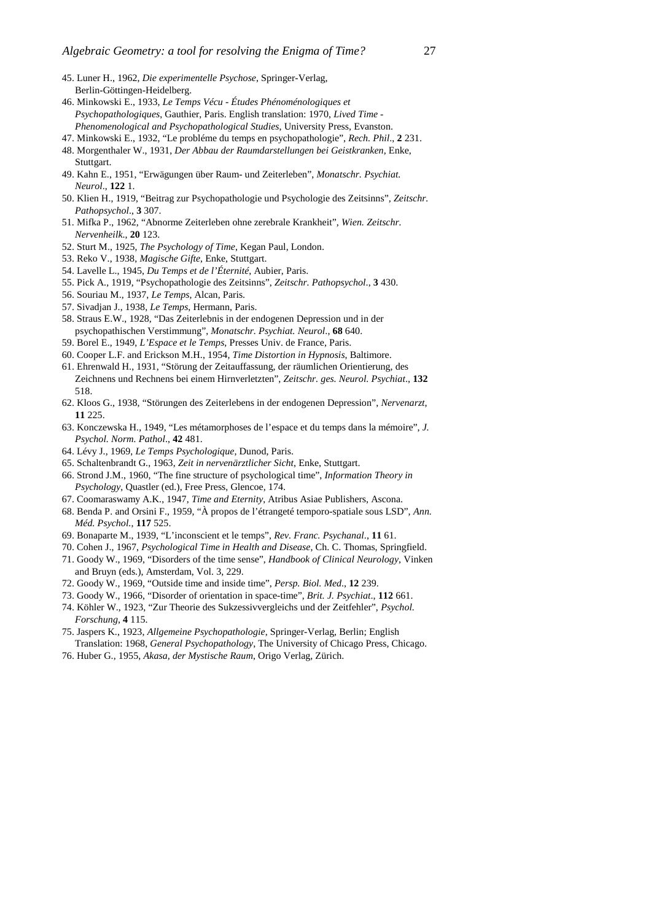- 45. Luner H., 1962, *Die experimentelle Psychose*, Springer-Verlag, Berlin-Göttingen-Heidelberg.
- 46. Minkowski E., 1933, *Le Temps Vécu Études Phénoménologiques et Psychopathologiques*, Gauthier, Paris. English translation: 1970, *Lived Time - Phenomenological and Psychopathological Studies*, University Press, Evanston.
- 47. Minkowski E., 1932, "Le probléme du temps en psychopathologie", *Rech. Phil*., **2** 231.
- 48. Morgenthaler W., 1931, *Der Abbau der Raumdarstellungen bei Geistkranken*, Enke, Stuttgart.
- 49. Kahn E., 1951, "Erwägungen über Raum- und Zeiterleben", *Monatschr. Psychiat. Neurol*., **122** 1.
- 50. Klien H., 1919, "Beitrag zur Psychopathologie und Psychologie des Zeitsinns", *Zeitschr. Pathopsychol*., **3** 307.
- 51. Mifka P., 1962, "Abnorme Zeiterleben ohne zerebrale Krankheit", *Wien. Zeitschr. Nervenheilk*., **20** 123.
- 52. Sturt M., 1925, *The Psychology of Time*, Kegan Paul, London.
- 53. Reko V., 1938, *Magische Gifte*, Enke, Stuttgart.
- 54. Lavelle L., 1945, *Du Temps et de l'Éternité*, Aubier, Paris.
- 55. Pick A., 1919, "Psychopathologie des Zeitsinns", *Zeitschr. Pathopsychol*., **3** 430.
- 56. Souriau M., 1937, *Le Temps*, Alcan, Paris.
- 57. Sivadjan J., 1938, *Le Temps*, Hermann, Paris.
- 58. Straus E.W., 1928, "Das Zeiterlebnis in der endogenen Depression und in der psychopathischen Verstimmung", *Monatschr. Psychiat. Neurol*., **68** 640.
- 59. Borel E., 1949, *L'Espace et le Temps*, Presses Univ. de France, Paris.
- 60. Cooper L.F. and Erickson M.H., 1954, *Time Distortion in Hypnosis*, Baltimore.
- 61. Ehrenwald H., 1931, "Störung der Zeitauffassung, der räumlichen Orientierung, des Zeichnens und Rechnens bei einem Hirnverletzten", *Zeitschr. ges. Neurol. Psychiat*., **132** 518.
- 62. Kloos G., 1938, "Störungen des Zeiterlebens in der endogenen Depression", *Nervenarzt*, **11** 225.
- 63. Konczewska H., 1949, "Les métamorphoses de l'espace et du temps dans la mémoire", *J. Psychol. Norm. Pathol*., **42** 481.
- 64. Lévy J., 1969, *Le Temps Psychologique*, Dunod, Paris.
- 65. Schaltenbrandt G., 1963, *Zeit in nervenärztlicher Sicht*, Enke, Stuttgart.
- 66. Strond J.M., 1960, "The fine structure of psychological time", *Information Theory in Psychology*, Quastler (ed.), Free Press, Glencoe, 174.
- 67. Coomaraswamy A.K., 1947, *Time and Eternity*, Atribus Asiae Publishers, Ascona.
- 68. Benda P. and Orsini F., 1959, "À propos de l'étrangeté temporo-spatiale sous LSD", *Ann. Méd. Psychol.*, **117** 525.
- 69. Bonaparte M., 1939, "L'inconscient et le temps", *Rev. Franc. Psychanal*., **11** 61.
- 70. Cohen J., 1967, *Psychological Time in Health and Disease*, Ch. C. Thomas, Springfield.
- 71. Goody W., 1969, "Disorders of the time sense", *Handbook of Clinical Neurology*, Vinken and Bruyn (eds.), Amsterdam, Vol. 3, 229.
- 72. Goody W., 1969, "Outside time and inside time", *Persp. Biol. Med*., **12** 239.
- 73. Goody W., 1966, "Disorder of orientation in space-time", *Brit. J. Psychiat*., **112** 661.
- 74. Köhler W., 1923, "Zur Theorie des Sukzessivvergleichs und der Zeitfehler", *Psychol. Forschung*, **4** 115.
- 75. Jaspers K., 1923, *Allgemeine Psychopathologie*, Springer-Verlag, Berlin; English Translation: 1968, *General Psychopathology*, The University of Chicago Press, Chicago.
- 76. Huber G., 1955, *Akasa, der Mystische Raum*, Origo Verlag, Zürich.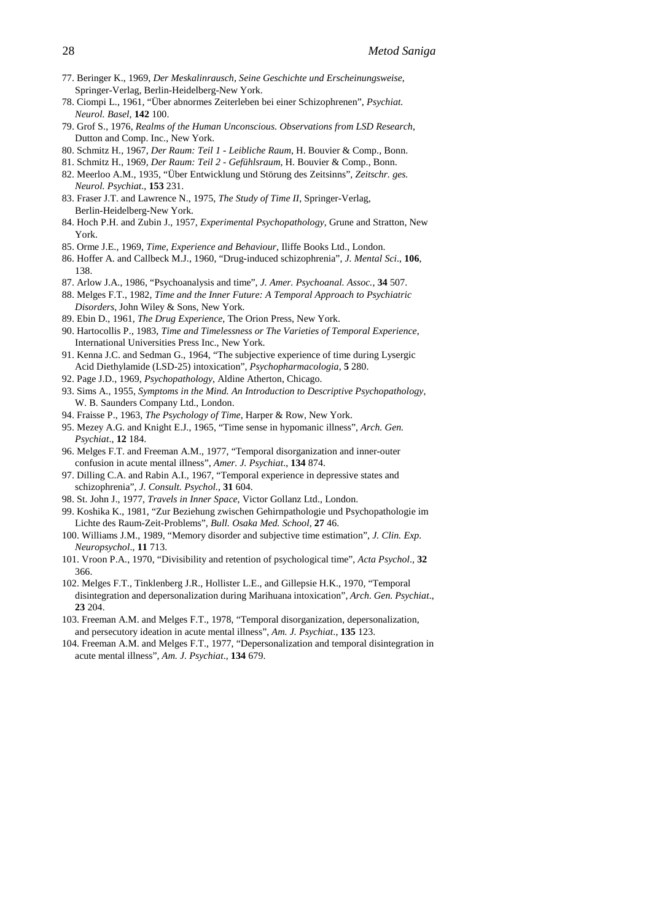- 77. Beringer K., 1969, *Der Meskalinrausch, Seine Geschichte und Erscheinungsweise*, Springer-Verlag, Berlin-Heidelberg-New York.
- 78. Ciompi L., 1961, "Über abnormes Zeiterleben bei einer Schizophrenen", *Psychiat. Neurol. Basel*, **142** 100.
- 79. Grof S., 1976, *Realms of the Human Unconscious. Observations from LSD Research*, Dutton and Comp. Inc., New York.
- 80. Schmitz H., 1967, *Der Raum: Teil 1 Leibliche Raum*, H. Bouvier & Comp., Bonn.
- 81. Schmitz H., 1969, *Der Raum: Teil 2 Gefühlsraum*, H. Bouvier & Comp., Bonn.
- 82. Meerloo A.M., 1935, "Über Entwicklung und Störung des Zeitsinns", *Zeitschr. ges. Neurol. Psychiat*., **153** 231.
- 83. Fraser J.T. and Lawrence N., 1975, *The Study of Time II*, Springer-Verlag, Berlin-Heidelberg-New York.
- 84. Hoch P.H. and Zubin J., 1957, *Experimental Psychopathology*, Grune and Stratton, New York.
- 85. Orme J.E., 1969, *Time, Experience and Behaviour*, Iliffe Books Ltd., London.
- 86. Hoffer A. and Callbeck M.J., 1960, "Drug-induced schizophrenia", *J. Mental Sci*., **106**, 138.
- 87. Arlow J.A., 1986, "Psychoanalysis and time", *J. Amer. Psychoanal. Assoc.*, **34** 507.
- 88. Melges F.T., 1982, *Time and the Inner Future: A Temporal Approach to Psychiatric Disorders*, John Wiley & Sons, New York.
- 89. Ebin D., 1961, *The Drug Experience*, The Orion Press, New York.
- 90. Hartocollis P., 1983, *Time and Timelessness or The Varieties of Temporal Experience*, International Universities Press Inc., New York.
- 91. Kenna J.C. and Sedman G., 1964, "The subjective experience of time during Lysergic Acid Diethylamide (LSD-25) intoxication", *Psychopharmacologia*, **5** 280.
- 92. Page J.D., 1969, *Psychopathology*, Aldine Atherton, Chicago.
- 93. Sims A., 1955, *Symptoms in the Mind. An Introduction to Descriptive Psychopathology*, W. B. Saunders Company Ltd., London.
- 94. Fraisse P., 1963, *The Psychology of Time*, Harper & Row, New York.
- 95. Mezey A.G. and Knight E.J., 1965, "Time sense in hypomanic illness", *Arch. Gen. Psychiat*., **12** 184.
- 96. Melges F.T. and Freeman A.M., 1977, "Temporal disorganization and inner-outer confusion in acute mental illness", *Amer. J. Psychiat*., **134** 874.
- 97. Dilling C.A. and Rabin A.I., 1967, "Temporal experience in depressive states and schizophrenia", *J. Consult. Psychol.*, **31** 604.
- 98. St. John J., 1977, *Travels in Inner Space*, Victor Gollanz Ltd., London.
- 99. Koshika K., 1981, "Zur Beziehung zwischen Gehirnpathologie und Psychopathologie im Lichte des Raum-Zeit-Problems", *Bull. Osaka Med. School*, **27** 46.
- 100. Williams J.M., 1989, "Memory disorder and subjective time estimation", *J. Clin. Exp. Neuropsychol*., **11** 713.
- 101. Vroon P.A., 1970, "Divisibility and retention of psychological time", *Acta Psychol*., **32** 366.
- 102. Melges F.T., Tinklenberg J.R., Hollister L.E., and Gillepsie H.K., 1970, "Temporal disintegration and depersonalization during Marihuana intoxication", *Arch. Gen. Psychiat*., **23** 204.
- 103. Freeman A.M. and Melges F.T., 1978, "Temporal disorganization, depersonalization, and persecutory ideation in acute mental illness", *Am. J. Psychiat*., **135** 123.
- 104. Freeman A.M. and Melges F.T., 1977, "Depersonalization and temporal disintegration in acute mental illness", *Am. J. Psychiat*., **134** 679.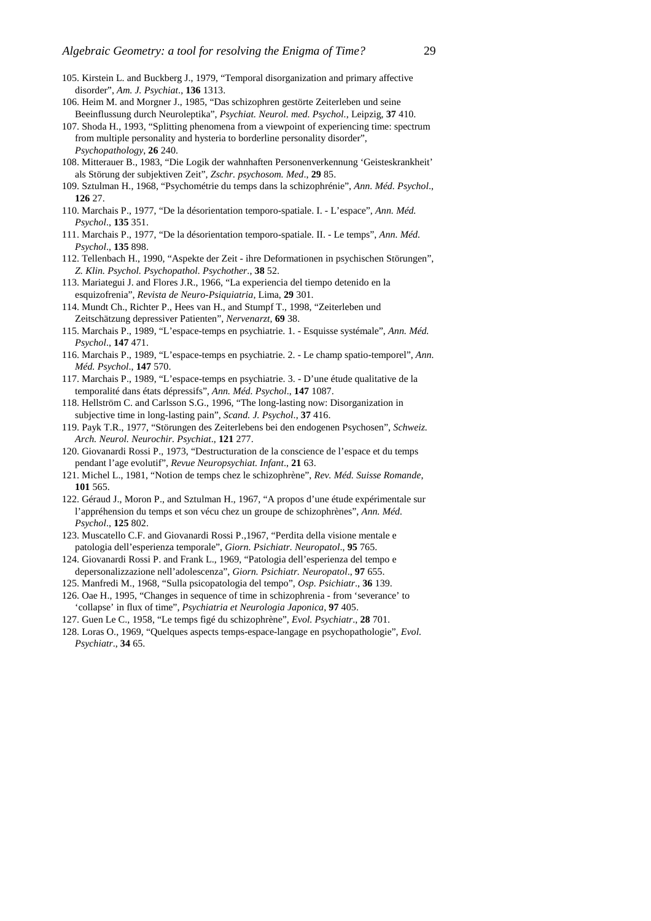- 105. Kirstein L. and Buckberg J., 1979, "Temporal disorganization and primary affective disorder", *Am. J. Psychiat*., **136** 1313.
- 106. Heim M. and Morgner J., 1985, "Das schizophren gestörte Zeiterleben und seine Beeinflussung durch Neuroleptika", *Psychiat. Neurol. med. Psychol.*, Leipzig, **37** 410.
- 107. Shoda H., 1993, "Splitting phenomena from a viewpoint of experiencing time: spectrum from multiple personality and hysteria to borderline personality disorder", *Psychopathology*, **26** 240.
- 108. Mitterauer B., 1983, "Die Logik der wahnhaften Personenverkennung 'Geisteskrankheit' als Störung der subjektiven Zeit", *Zschr. psychosom. Med*., **29** 85.
- 109. Sztulman H., 1968, "Psychométrie du temps dans la schizophrénie", *Ann. Méd. Psychol*., **126** 27.
- 110. Marchais P., 1977, "De la désorientation temporo-spatiale. I. L'espace", *Ann. Méd. Psychol*., **135** 351.
- 111. Marchais P., 1977, "De la désorientation temporo-spatiale. II. Le temps", *Ann. Méd. Psychol*., **135** 898.
- 112. Tellenbach H., 1990, "Aspekte der Zeit ihre Deformationen in psychischen Störungen", *Z. Klin. Psychol. Psychopathol. Psychother*., **38** 52.
- 113. Mariategui J. and Flores J.R., 1966, "La experiencia del tiempo detenido en la esquizofrenia", *Revista de Neuro-Psiquiatria*, Lima, **29** 301.
- 114. Mundt Ch., Richter P., Hees van H., and Stumpf T., 1998, "Zeiterleben und Zeitschätzung depressiver Patienten", *Nervenarzt*, **69** 38.
- 115. Marchais P., 1989, "L'espace-temps en psychiatrie. 1. Esquisse systémale", *Ann. Méd. Psychol*., **147** 471.
- 116. Marchais P., 1989, "L'espace-temps en psychiatrie. 2. Le champ spatio-temporel", *Ann. Méd. Psychol*., **147** 570.
- 117. Marchais P., 1989, "L'espace-temps en psychiatrie. 3. D'une étude qualitative de la temporalité dans états dépressifs", *Ann. Méd. Psychol*., **147** 1087.
- 118. Hellström C. and Carlsson S.G., 1996, "The long-lasting now: Disorganization in subjective time in long-lasting pain", *Scand. J. Psychol*., **37** 416.
- 119. Payk T.R., 1977, "Störungen des Zeiterlebens bei den endogenen Psychosen", *Schweiz. Arch. Neurol. Neurochir. Psychiat*., **121** 277.
- 120. Giovanardi Rossi P., 1973, "Destructuration de la conscience de l'espace et du temps pendant l'age evolutif", *Revue Neuropsychiat. Infant*., **21** 63.
- 121. Michel L., 1981, "Notion de temps chez le schizophrène", *Rev. Méd. Suisse Romande*, **101** 565.
- 122. Géraud J., Moron P., and Sztulman H., 1967, "A propos d'une étude expérimentale sur l'appréhension du temps et son vécu chez un groupe de schizophrènes", *Ann. Méd. Psychol*., **125** 802.
- 123. Muscatello C.F. and Giovanardi Rossi P.,1967, "Perdita della visione mentale e patologia dell'esperienza temporale", *Giorn. Psichiatr. Neuropatol*., **95** 765.
- 124. Giovanardi Rossi P. and Frank L., 1969, "Patologia dell'esperienza del tempo e depersonalizzazione nell'adolescenza", *Giorn. Psichiatr. Neuropatol*., **97** 655.
- 125. Manfredi M., 1968, "Sulla psicopatologia del tempo", *Osp. Psichiatr*., **36** 139.
- 126. Oae H., 1995, "Changes in sequence of time in schizophrenia from 'severance' to 'collapse' in flux of time", *Psychiatria et Neurologia Japonica*, **97** 405.
- 127. Guen Le C., 1958, "Le temps figé du schizophrène", *Evol. Psychiatr*., **28** 701.
- 128. Loras O., 1969, "Quelques aspects temps-espace-langage en psychopathologie", *Evol. Psychiatr*., **34** 65.